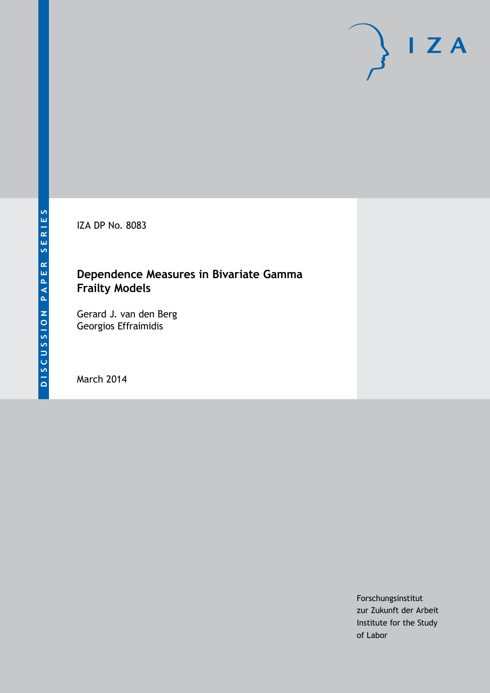IZA DP No. 8083

# **Dependence Measures in Bivariate Gamma Frailty Models**

Gerard J. van den Berg Georgios Effraimidis

March 2014

Forschungsinstitut zur Zukunft der Arbeit Institute for the Study of Labor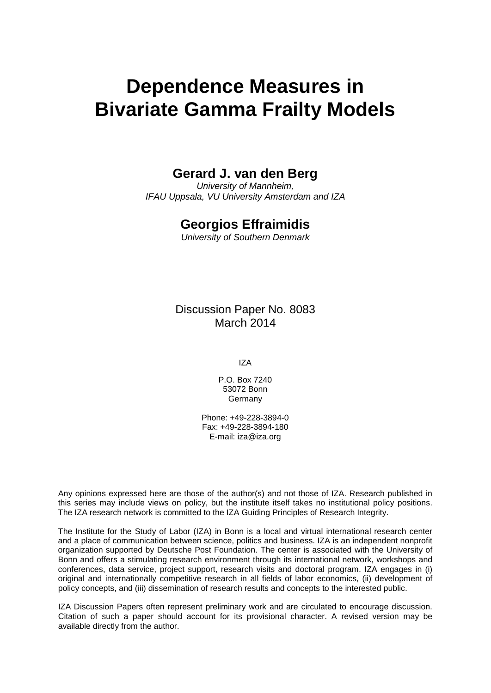# **Dependence Measures in Bivariate Gamma Frailty Models**

### **Gerard J. van den Berg**

*University of Mannheim, IFAU Uppsala, VU University Amsterdam and IZA*

### **Georgios Effraimidis**

*University of Southern Denmark*

Discussion Paper No. 8083 March 2014

IZA

P.O. Box 7240 53072 Bonn Germany

Phone: +49-228-3894-0 Fax: +49-228-3894-180 E-mail: [iza@iza.org](mailto:iza@iza.org)

Any opinions expressed here are those of the author(s) and not those of IZA. Research published in this series may include views on policy, but the institute itself takes no institutional policy positions. The IZA research network is committed to the IZA Guiding Principles of Research Integrity.

The Institute for the Study of Labor (IZA) in Bonn is a local and virtual international research center and a place of communication between science, politics and business. IZA is an independent nonprofit organization supported by Deutsche Post Foundation. The center is associated with the University of Bonn and offers a stimulating research environment through its international network, workshops and conferences, data service, project support, research visits and doctoral program. IZA engages in (i) original and internationally competitive research in all fields of labor economics, (ii) development of policy concepts, and (iii) dissemination of research results and concepts to the interested public.

<span id="page-1-0"></span>IZA Discussion Papers often represent preliminary work and are circulated to encourage discussion. Citation of such a paper should account for its provisional character. A revised version may be available directly from the author.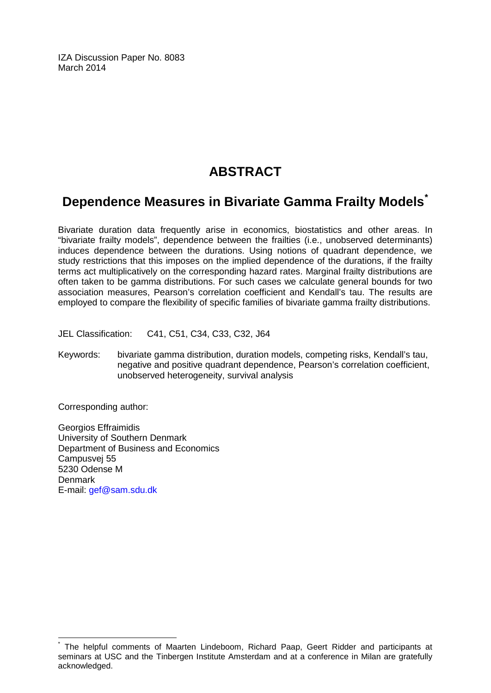IZA Discussion Paper No. 8083 March 2014

# **ABSTRACT**

# **Dependence Measures in Bivariate Gamma Frailty Models[\\*](#page-1-0)**

Bivariate duration data frequently arise in economics, biostatistics and other areas. In "bivariate frailty models", dependence between the frailties (i.e., unobserved determinants) induces dependence between the durations. Using notions of quadrant dependence, we study restrictions that this imposes on the implied dependence of the durations, if the frailty terms act multiplicatively on the corresponding hazard rates. Marginal frailty distributions are often taken to be gamma distributions. For such cases we calculate general bounds for two association measures, Pearson's correlation coefficient and Kendall's tau. The results are employed to compare the flexibility of specific families of bivariate gamma frailty distributions.

JEL Classification: C41, C51, C34, C33, C32, J64

Keywords: bivariate gamma distribution, duration models, competing risks, Kendall's tau, negative and positive quadrant dependence, Pearson's correlation coefficient, unobserved heterogeneity, survival analysis

Corresponding author:

Georgios Effraimidis University of Southern Denmark Department of Business and Economics Campusvej 55 5230 Odense M **Denmark** E-mail: [gef@sam.sdu.dk](mailto:gef@sam.sdu.dk)

The helpful comments of Maarten Lindeboom, Richard Paap, Geert Ridder and participants at seminars at USC and the Tinbergen Institute Amsterdam and at a conference in Milan are gratefully acknowledged.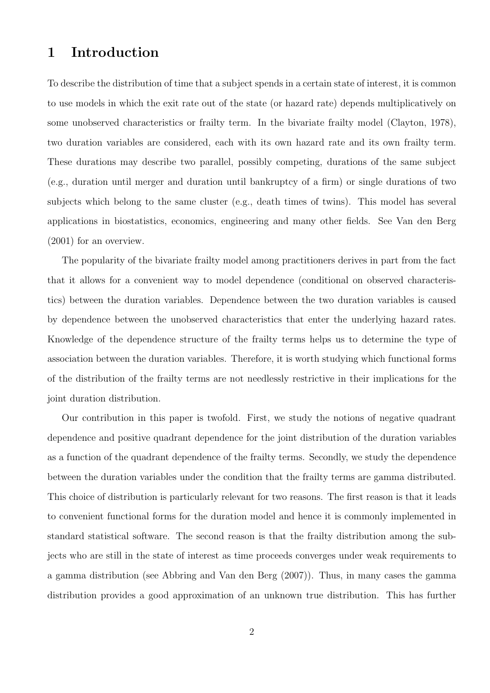### **1 Introduction**

To describe the distribution of time that a subject spends in a certain state of interest, it is common to use models in which the exit rate out of the state (or hazard rate) depends multiplicatively on some unobserved characteristics or frailty term. In the bivariate frailty model (Clayton, 1978), two duration variables are considered, each with its own hazard rate and its own frailty term. These durations may describe two parallel, possibly competing, durations of the same subject (e.g., duration until merger and duration until bankruptcy of a firm) or single durations of two subjects which belong to the same cluster (e.g., death times of twins). This model has several applications in biostatistics, economics, engineering and many other fields. See Van den Berg (2001) for an overview.

The popularity of the bivariate frailty model among practitioners derives in part from the fact that it allows for a convenient way to model dependence (conditional on observed characteristics) between the duration variables. Dependence between the two duration variables is caused by dependence between the unobserved characteristics that enter the underlying hazard rates. Knowledge of the dependence structure of the frailty terms helps us to determine the type of association between the duration variables. Therefore, it is worth studying which functional forms of the distribution of the frailty terms are not needlessly restrictive in their implications for the joint duration distribution.

Our contribution in this paper is twofold. First, we study the notions of negative quadrant dependence and positive quadrant dependence for the joint distribution of the duration variables as a function of the quadrant dependence of the frailty terms. Secondly, we study the dependence between the duration variables under the condition that the frailty terms are gamma distributed. This choice of distribution is particularly relevant for two reasons. The first reason is that it leads to convenient functional forms for the duration model and hence it is commonly implemented in standard statistical software. The second reason is that the frailty distribution among the subjects who are still in the state of interest as time proceeds converges under weak requirements to a gamma distribution (see Abbring and Van den Berg (2007)). Thus, in many cases the gamma distribution provides a good approximation of an unknown true distribution. This has further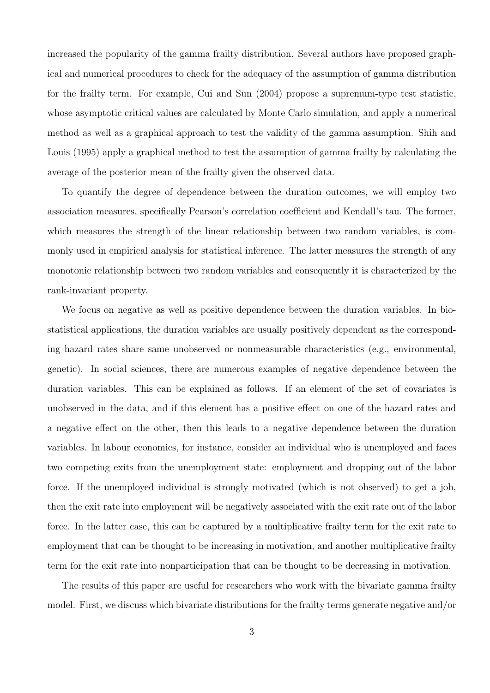increased the popularity of the gamma frailty distribution. Several authors have proposed graphical and numerical procedures to check for the adequacy of the assumption of gamma distribution for the frailty term. For example, Cui and Sun (2004) propose a supremum-type test statistic, whose asymptotic critical values are calculated by Monte Carlo simulation, and apply a numerical method as well as a graphical approach to test the validity of the gamma assumption. Shih and Louis (1995) apply a graphical method to test the assumption of gamma frailty by calculating the average of the posterior mean of the frailty given the observed data.

To quantify the degree of dependence between the duration outcomes, we will employ two association measures, specifically Pearson's correlation coefficient and Kendall's tau. The former, which measures the strength of the linear relationship between two random variables, is commonly used in empirical analysis for statistical inference. The latter measures the strength of any monotonic relationship between two random variables and consequently it is characterized by the rank-invariant property.

We focus on negative as well as positive dependence between the duration variables. In biostatistical applications, the duration variables are usually positively dependent as the corresponding hazard rates share same unobserved or nonmeasurable characteristics (e.g., environmental, genetic). In social sciences, there are numerous examples of negative dependence between the duration variables. This can be explained as follows. If an element of the set of covariates is unobserved in the data, and if this element has a positive effect on one of the hazard rates and a negative effect on the other, then this leads to a negative dependence between the duration variables. In labour economics, for instance, consider an individual who is unemployed and faces two competing exits from the unemployment state: employment and dropping out of the labor force. If the unemployed individual is strongly motivated (which is not observed) to get a job, then the exit rate into employment will be negatively associated with the exit rate out of the labor force. In the latter case, this can be captured by a multiplicative frailty term for the exit rate to employment that can be thought to be increasing in motivation, and another multiplicative frailty term for the exit rate into nonparticipation that can be thought to be decreasing in motivation.

The results of this paper are useful for researchers who work with the bivariate gamma frailty model. First, we discuss which bivariate distributions for the frailty terms generate negative and/or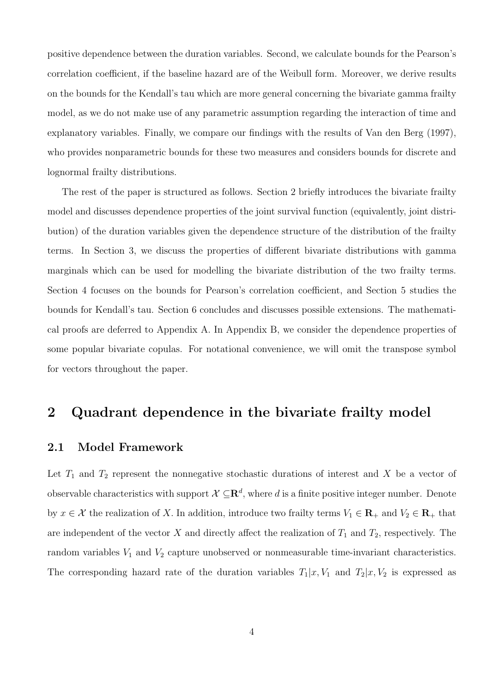positive dependence between the duration variables. Second, we calculate bounds for the Pearson's correlation coefficient, if the baseline hazard are of the Weibull form. Moreover, we derive results on the bounds for the Kendall's tau which are more general concerning the bivariate gamma frailty model, as we do not make use of any parametric assumption regarding the interaction of time and explanatory variables. Finally, we compare our findings with the results of Van den Berg (1997), who provides nonparametric bounds for these two measures and considers bounds for discrete and lognormal frailty distributions.

The rest of the paper is structured as follows. Section 2 briefly introduces the bivariate frailty model and discusses dependence properties of the joint survival function (equivalently, joint distribution) of the duration variables given the dependence structure of the distribution of the frailty terms. In Section 3, we discuss the properties of different bivariate distributions with gamma marginals which can be used for modelling the bivariate distribution of the two frailty terms. Section 4 focuses on the bounds for Pearson's correlation coefficient, and Section 5 studies the bounds for Kendall's tau. Section 6 concludes and discusses possible extensions. The mathematical proofs are deferred to Appendix A. In Appendix B, we consider the dependence properties of some popular bivariate copulas. For notational convenience, we will omit the transpose symbol for vectors throughout the paper.

### **2 Quadrant dependence in the bivariate frailty model**

#### **2.1 Model Framework**

Let  $T_1$  and  $T_2$  represent the nonnegative stochastic durations of interest and  $X$  be a vector of observable characteristics with support  $\mathcal{X} \subseteq \mathbb{R}^d$ , where *d* is a finite positive integer number. Denote by  $x \in \mathcal{X}$  the realization of X. In addition, introduce two frailty terms  $V_1 \in \mathbf{R}_+$  and  $V_2 \in \mathbf{R}_+$  that are independent of the vector  $X$  and directly affect the realization of  $T_1$  and  $T_2$ , respectively. The random variables  $V_1$  and  $V_2$  capture unobserved or nonmeasurable time-invariant characteristics. The corresponding hazard rate of the duration variables  $T_1|x, V_1$  and  $T_2|x, V_2$  is expressed as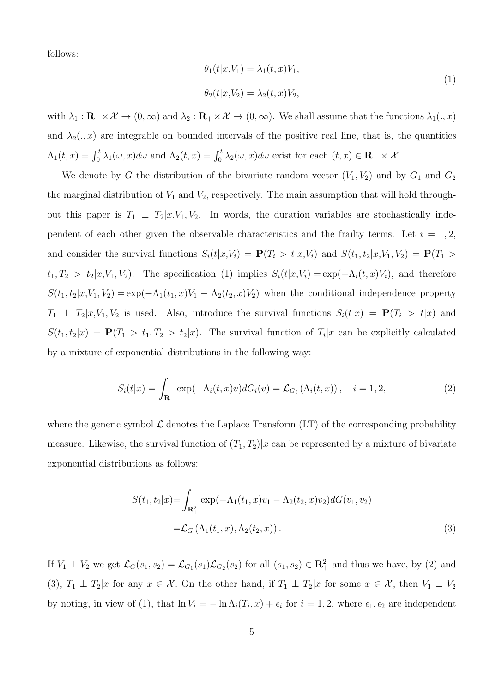follows:

$$
\theta_1(t|x, V_1) = \lambda_1(t, x)V_1,
$$
  
\n
$$
\theta_2(t|x, V_2) = \lambda_2(t, x)V_2,
$$
\n(1)

with  $\lambda_1 : \mathbf{R}_+ \times \mathcal{X} \to (0, \infty)$  and  $\lambda_2 : \mathbf{R}_+ \times \mathcal{X} \to (0, \infty)$ . We shall assume that the functions  $\lambda_1(.,x)$ and  $\lambda_2(.,x)$  are integrable on bounded intervals of the positive real line, that is, the quantities  $\Lambda_1(t,x) = \int_0^t \lambda_1(\omega, x) d\omega$  and  $\Lambda_2(t,x) = \int_0^t \lambda_2(\omega, x) d\omega$  exist for each  $(t,x) \in \mathbf{R}_+ \times \mathcal{X}$ .

We denote by *G* the distribution of the bivariate random vector  $(V_1, V_2)$  and by  $G_1$  and  $G_2$ the marginal distribution of  $V_1$  and  $V_2$ , respectively. The main assumption that will hold throughout this paper is  $T_1 \perp T_2 | x, V_1, V_2$ . In words, the duration variables are stochastically independent of each other given the observable characteristics and the frailty terms. Let  $i = 1, 2,$ and consider the survival functions  $S_i(t|x,V_i) = \mathbf{P}(T_i > t|x,V_i)$  and  $S(t_1,t_2|x,V_1,V_2) = \mathbf{P}(T_1 > t_1)$  $t_1, T_2 > t_2 | x, V_1, V_2$ ). The specification (1) implies  $S_i(t | x, V_i) = \exp(-\Lambda_i(t, x)V_i)$ , and therefore  $S(t_1, t_2 | x, V_1, V_2) = \exp(-\Lambda_1(t_1, x)V_1 - \Lambda_2(t_2, x)V_2)$  when the conditional independence property  $T_1 \perp T_2 | x, V_1, V_2$  is used. Also, introduce the survival functions  $S_i(t|x) = \mathbf{P}(T_i > t|x)$  and  $S(t_1, t_2|x) = \mathbf{P}(T_1 > t_1, T_2 > t_2|x)$ . The survival function of  $T_i|x$  can be explicitly calculated by a mixture of exponential distributions in the following way:

$$
S_i(t|x) = \int_{\mathbf{R}_+} \exp(-\Lambda_i(t,x)v) dG_i(v) = \mathcal{L}_{G_i}(\Lambda_i(t,x)), \quad i = 1, 2,
$$
\n(2)

where the generic symbol  $\mathcal L$  denotes the Laplace Transform  $(LT)$  of the corresponding probability measure. Likewise, the survival function of  $(T_1, T_2)|x$  can be represented by a mixture of bivariate exponential distributions as follows:

$$
S(t_1, t_2 | x) = \int_{\mathbf{R}_+^2} \exp(-\Lambda_1(t_1, x)v_1 - \Lambda_2(t_2, x)v_2) dG(v_1, v_2)
$$
  
=  $\mathcal{L}_G(\Lambda_1(t_1, x), \Lambda_2(t_2, x)).$  (3)

If  $V_1 \perp V_2$  we get  $\mathcal{L}_G(s_1, s_2) = \mathcal{L}_{G_1}(s_1) \mathcal{L}_{G_2}(s_2)$  for all  $(s_1, s_2) \in \mathbb{R}^2_+$  and thus we have, by (2) and (3),  $T_1 \perp T_2 | x$  for any  $x \in \mathcal{X}$ . On the other hand, if  $T_1 \perp T_2 | x$  for some  $x \in \mathcal{X}$ , then  $V_1 \perp V_2$ by noting, in view of (1), that  $\ln V_i = -\ln \Lambda_i(T_i, x) + \epsilon_i$  for  $i = 1, 2$ , where  $\epsilon_1, \epsilon_2$  are independent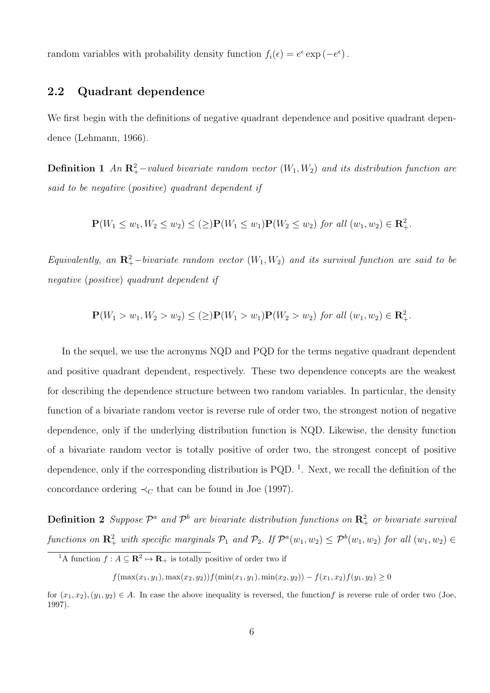random variables with probability density function  $f_i(\epsilon) = e^{\epsilon} \exp(-e^{\epsilon})$ .

#### **2.2 Quadrant dependence**

We first begin with the definitions of negative quadrant dependence and positive quadrant dependence (Lehmann, 1966).

**Definition 1** *An*  $\mathbb{R}^2_+$ *-valued bivariate random vector*  $(W_1, W_2)$  *and its distribution function are said to be negative* (*positive*) *quadrant dependent if*

$$
\mathbf{P}(W_1 \le w_1, W_2 \le w_2) \le (\ge) \mathbf{P}(W_1 \le w_1) \mathbf{P}(W_2 \le w_2) \text{ for all } (w_1, w_2) \in \mathbf{R}_+^2.
$$

 $Equivalently,$  an  $\mathbb{R}^2_+$ *-bivariate random vector*  $(W_1, W_2)$  and its survival function are said to be *negative* (*positive*) *quadrant dependent if*

$$
\mathbf{P}(W_1 > w_1, W_2 > w_2) \leq (\geq) \mathbf{P}(W_1 > w_1) \mathbf{P}(W_2 > w_2) \text{ for all } (w_1, w_2) \in \mathbb{R}^2_+.
$$

In the sequel, we use the acronyms NQD and PQD for the terms negative quadrant dependent and positive quadrant dependent, respectively. These two dependence concepts are the weakest for describing the dependence structure between two random variables. In particular, the density function of a bivariate random vector is reverse rule of order two, the strongest notion of negative dependence, only if the underlying distribution function is NQD. Likewise, the density function of a bivariate random vector is totally positive of order two*,* the strongest concept of positive dependence, only if the corresponding distribution is PQD.<sup>1</sup>. Next, we recall the definition of the concordance ordering  $\prec_C$  that can be found in Joe (1997).

**Definition 2** Suppose  $\mathcal{P}^a$  and  $\mathcal{P}^b$  are bivariate distribution functions on  $\mathbb{R}^2_+$  or bivariate survival functions on  $\mathbb{R}^2_+$  with specific marginals  $\mathcal{P}_1$  and  $\mathcal{P}_2$ . If  $\mathcal{P}^a(w_1, w_2) \leq \mathcal{P}^b(w_1, w_2)$  for all  $(w_1, w_2) \in$ 

*f*(max(*x*<sub>1</sub>*, y*<sub>1</sub>)*,* max(*x*<sub>2</sub>*, y*<sub>2</sub>))*f*(min(*x*<sub>1</sub>*, y*<sub>1</sub>)*,* min(*x*<sub>2</sub>*, y*<sub>2</sub>)) *− f*(*x*<sub>1</sub>*, x*<sub>2</sub>)*f*(*y*<sub>1</sub>*, y*<sub>2</sub>) ≥ 0

<sup>&</sup>lt;sup>1</sup>A function  $f: A \subseteq \mathbb{R}^2 \mapsto \mathbb{R}_+$  is totally positive of order two if

for  $(x_1, x_2), (y_1, y_2) \in A$ . In case the above inequality is reversed, the function f is reverse rule of order two (Joe, 1997).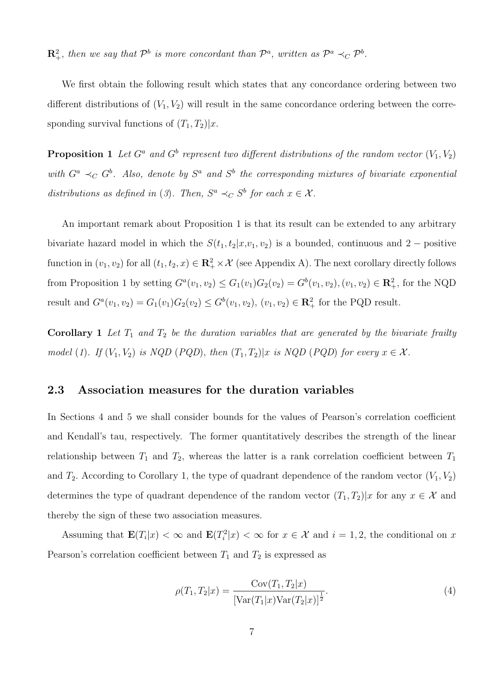$\mathbb{R}^2_+$ *, then we say that*  $\mathcal{P}^b$  *is more concordant than*  $\mathcal{P}^a$ *, written as*  $\mathcal{P}^a \prec_C \mathcal{P}^b$ *.* 

We first obtain the following result which states that any concordance ordering between two different distributions of  $(V_1, V_2)$  will result in the same concordance ordering between the corresponding survival functions of  $(T_1, T_2)|x$ .

**Proposition 1** Let  $G^a$  and  $G^b$  represent two different distributions of the random vector  $(V_1, V_2)$ *with*  $G^a \prec_C G^b$ . Also, denote by  $S^a$  and  $S^b$  the corresponding mixtures of bivariate exponential *distributions as defined in* (*3*)*. Then,*  $S^a \prec_C S^b$  *for each*  $x \in \mathcal{X}$ *.* 

An important remark about Proposition 1 is that its result can be extended to any arbitrary bivariate hazard model in which the  $S(t_1, t_2 | x, v_1, v_2)$  is a bounded, continuous and 2 *−* positive function in  $(v_1, v_2)$  for all  $(t_1, t_2, x) \in \mathbb{R}_+^2 \times \mathcal{X}$  (see Appendix A). The next corollary directly follows from Proposition 1 by setting  $G^a(v_1, v_2) \le G_1(v_1)G_2(v_2) = G^b(v_1, v_2), (v_1, v_2) \in \mathbb{R}^2_+$ , for the NQD result and  $G^a(v_1, v_2) = G_1(v_1)G_2(v_2) \le G^b(v_1, v_2), (v_1, v_2) \in \mathbb{R}^2_+$  for the PQD result.

**Corollary 1** Let  $T_1$  and  $T_2$  be the duration variables that are generated by the bivariate frailty *model* (1). If  $(V_1, V_2)$  *is NQD* (*PQD*)*, then*  $(T_1, T_2)|x$  *is NQD* (*PQD*) *for every*  $x \in \mathcal{X}$ *.* 

#### **2.3 Association measures for the duration variables**

In Sections 4 and 5 we shall consider bounds for the values of Pearson's correlation coefficient and Kendall's tau, respectively. The former quantitatively describes the strength of the linear relationship between  $T_1$  and  $T_2$ , whereas the latter is a rank correlation coefficient between  $T_1$ and  $T_2$ . According to Corollary 1, the type of quadrant dependence of the random vector  $(V_1, V_2)$ determines the type of quadrant dependence of the random vector  $(T_1, T_2)|x$  for any  $x \in \mathcal{X}$  and thereby the sign of these two association measures.

Assuming that  $\mathbf{E}(T_i|x) < \infty$  and  $\mathbf{E}(T_i^2|x) < \infty$  for  $x \in \mathcal{X}$  and  $i = 1, 2$ , the conditional on x Pearson's correlation coefficient between  $T_1$  and  $T_2$  is expressed as

$$
\rho(T_1, T_2|x) = \frac{\text{Cov}(T_1, T_2|x)}{\left[\text{Var}(T_1|x)\text{Var}(T_2|x)\right]^{\frac{1}{2}}}.
$$
\n(4)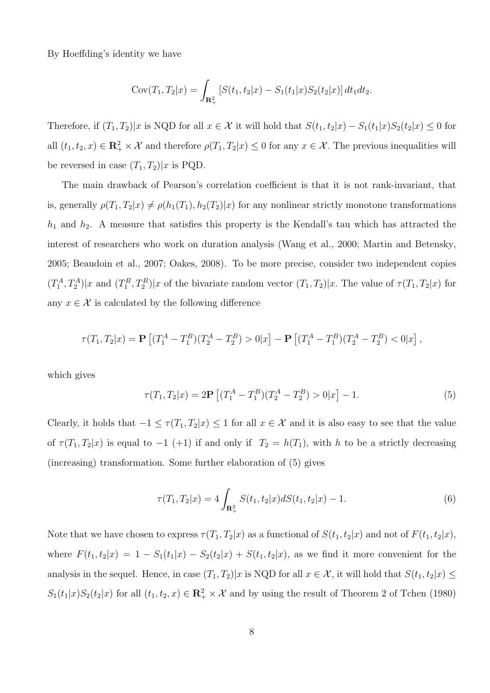By Hoeffding's identity we have

$$
Cov(T_1, T_2|x) = \int_{\mathbf{R}_+^2} \left[ S(t_1, t_2|x) - S_1(t_1|x)S_2(t_2|x) \right] dt_1 dt_2.
$$

Therefore, if  $(T_1, T_2)|x$  is NQD for all  $x \in \mathcal{X}$  it will hold that  $S(t_1, t_2|x) - S_1(t_1|x)S_2(t_2|x) \leq 0$  for all  $(t_1, t_2, x) \in \mathbb{R}_+^2 \times \mathcal{X}$  and therefore  $\rho(T_1, T_2 | x) \leq 0$  for any  $x \in \mathcal{X}$ . The previous inequalities will be reversed in case  $(T_1, T_2)|x$  is PQD.

The main drawback of Pearson's correlation coefficient is that it is not rank-invariant, that is, generally  $\rho(T_1, T_2|x) \neq \rho(h_1(T_1), h_2(T_2)|x)$  for any nonlinear strictly monotone transformations *h*<sup>1</sup> and *h*2. A measure that satisfies this property is the Kendall's tau which has attracted the interest of researchers who work on duration analysis (Wang et al., 2000; Martin and Betensky, 2005; Beaudoin et al., 2007; Oakes, 2008). To be more precise, consider two independent copies  $(T_1^A, T_2^A)|x$  and  $(T_1^B, T_2^B)|x$  of the bivariate random vector  $(T_1, T_2)|x$ . The value of  $\tau(T_1, T_2|x)$  for any  $x \in \mathcal{X}$  is calculated by the following difference

$$
\tau(T_1, T_2|x) = \mathbf{P}\left[ (T_1^A - T_1^B)(T_2^A - T_2^B) > 0|x \right] - \mathbf{P}\left[ (T_1^A - T_1^B)(T_2^A - T_2^B) < 0|x \right],
$$

which gives

$$
\tau(T_1, T_2|x) = 2\mathbf{P} \left[ (T_1^A - T_1^B)(T_2^A - T_2^B) > 0|x \right] - 1.
$$
 (5)

Clearly, it holds that  $-1 \leq \tau(T_1, T_2 | x) \leq 1$  for all  $x \in \mathcal{X}$  and it is also easy to see that the value of  $\tau(T_1, T_2|x)$  is equal to  $-1$  (+1) if and only if  $T_2 = h(T_1)$ , with *h* to be a strictly decreasing (increasing) transformation. Some further elaboration of (5) gives

$$
\tau(T_1, T_2|x) = 4 \int_{\mathbf{R}_+^2} S(t_1, t_2|x) dS(t_1, t_2|x) - 1.
$$
 (6)

Note that we have chosen to express  $\tau(T_1, T_2|x)$  as a functional of  $S(t_1, t_2|x)$  and not of  $F(t_1, t_2|x)$ , where  $F(t_1, t_2|x) = 1 - S_1(t_1|x) - S_2(t_2|x) + S(t_1, t_2|x)$ , as we find it more convenient for the analysis in the sequel. Hence, in case  $(T_1, T_2)|x$  is NQD for all  $x \in \mathcal{X}$ , it will hold that  $S(t_1, t_2|x) \le$  $S_1(t_1|x)S_2(t_2|x)$  for all  $(t_1, t_2, x) \in \mathbb{R}_+^2 \times \mathcal{X}$  and by using the result of Theorem 2 of Tchen (1980)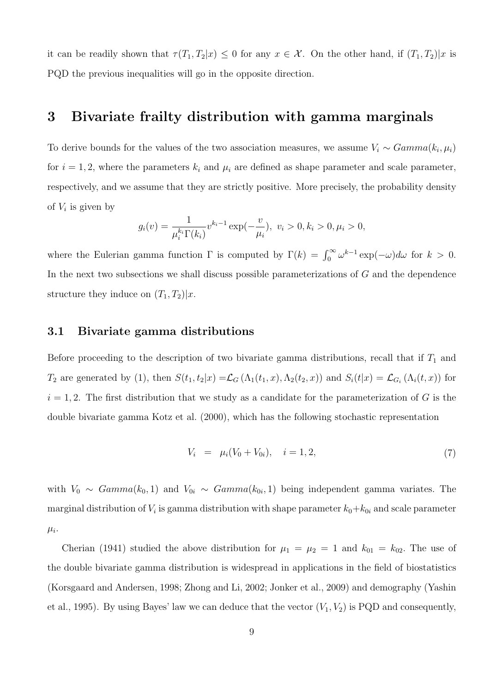it can be readily shown that  $\tau(T_1, T_2 | x) \leq 0$  for any  $x \in \mathcal{X}$ . On the other hand, if  $(T_1, T_2 | x)$  is PQD the previous inequalities will go in the opposite direction.

### **3 Bivariate frailty distribution with gamma marginals**

To derive bounds for the values of the two association measures, we assume  $V_i \sim Gamma(k_i, \mu_i)$ for  $i = 1, 2$ , where the parameters  $k_i$  and  $\mu_i$  are defined as shape parameter and scale parameter, respectively, and we assume that they are strictly positive. More precisely, the probability density of  $V_i$  is given by

$$
g_i(v) = \frac{1}{\mu_i^{k_i} \Gamma(k_i)} v^{k_i - 1} \exp(-\frac{v}{\mu_i}), \ v_i > 0, k_i > 0, \mu_i > 0,
$$

where the Eulerian gamma function  $\Gamma$  is computed by  $\Gamma(k) = \int_0^\infty \omega^{k-1} \exp(-\omega) d\omega$  for  $k > 0$ . In the next two subsections we shall discuss possible parameterizations of *G* and the dependence structure they induce on  $(T_1, T_2)|x$ .

#### **3.1 Bivariate gamma distributions**

Before proceeding to the description of two bivariate gamma distributions, recall that if  $T_1$  and  $T_2$  are generated by (1), then  $S(t_1,t_2|x) = \mathcal{L}_G(\Lambda_1(t_1,x),\Lambda_2(t_2,x))$  and  $S_i(t|x) = \mathcal{L}_{G_i}(\Lambda_i(t,x))$  for  $i = 1, 2$ . The first distribution that we study as a candidate for the parameterization of *G* is the double bivariate gamma Kotz et al. (2000), which has the following stochastic representation

$$
V_i = \mu_i (V_0 + V_{0i}), \quad i = 1, 2, \tag{7}
$$

with  $V_0 \sim \text{Gamma}(k_0, 1)$  and  $V_{0i} \sim \text{Gamma}(k_{0i}, 1)$  being independent gamma variates. The marginal distribution of  $V_i$  is gamma distribution with shape parameter  $k_0+k_{0i}$  and scale parameter  $\mu_i$ .

Cherian (1941) studied the above distribution for  $\mu_1 = \mu_2 = 1$  and  $k_{01} = k_{02}$ . The use of the double bivariate gamma distribution is widespread in applications in the field of biostatistics (Korsgaard and Andersen, 1998; Zhong and Li, 2002; Jonker et al., 2009) and demography (Yashin et al., 1995). By using Bayes' law we can deduce that the vector  $(V_1, V_2)$  is PQD and consequently,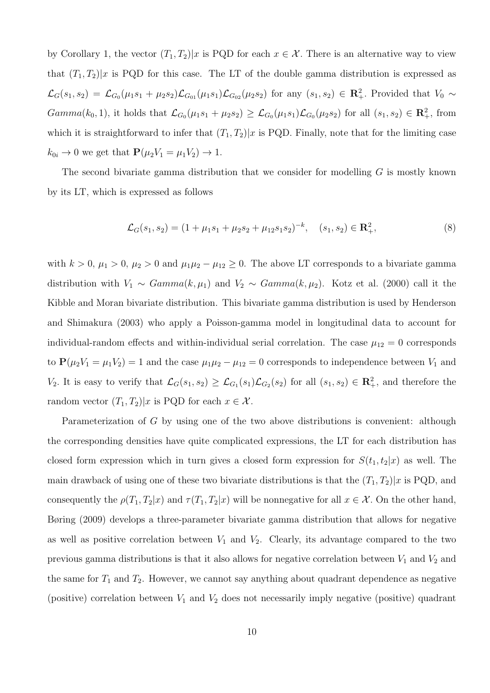by Corollary 1, the vector  $(T_1, T_2)|x$  is PQD for each  $x \in \mathcal{X}$ . There is an alternative way to view that  $(T_1, T_2)|x$  is PQD for this case. The LT of the double gamma distribution is expressed as  $\mathcal{L}_{G}(s_1,s_2) = \mathcal{L}_{G_0}(\mu_1s_1 + \mu_2s_2)\mathcal{L}_{G_{01}}(\mu_1s_1)\mathcal{L}_{G_{02}}(\mu_2s_2)$  for any  $(s_1,s_2) \in \mathbb{R}^2_+$ . Provided that  $V_0 \sim$  $Gamma(k_0, 1)$ , it holds that  $\mathcal{L}_{G_0}(\mu_1 s_1 + \mu_2 s_2) \geq \mathcal{L}_{G_0}(\mu_1 s_1) \mathcal{L}_{G_0}(\mu_2 s_2)$  for all  $(s_1, s_2) \in \mathbb{R}^2_+$ , from which it is straightforward to infer that  $(T_1, T_2)|x$  is PQD. Finally, note that for the limiting case  $k_{0i} \to 0$  we get that  $P(\mu_2 V_1 = \mu_1 V_2) \to 1$ .

The second bivariate gamma distribution that we consider for modelling *G* is mostly known by its LT, which is expressed as follows

$$
\mathcal{L}_G(s_1, s_2) = (1 + \mu_1 s_1 + \mu_2 s_2 + \mu_1 s_1 s_2)^{-k}, \quad (s_1, s_2) \in \mathbb{R}^2_+,
$$
 (8)

with  $k > 0$ ,  $\mu_1 > 0$ ,  $\mu_2 > 0$  and  $\mu_1 \mu_2 - \mu_1 \geq 0$ . The above LT corresponds to a bivariate gamma distribution with  $V_1 \sim \text{Gamma}(k, \mu_1)$  and  $V_2 \sim \text{Gamma}(k, \mu_2)$ . Kotz et al. (2000) call it the Kibble and Moran bivariate distribution. This bivariate gamma distribution is used by Henderson and Shimakura (2003) who apply a Poisson-gamma model in longitudinal data to account for individual-random effects and within-individual serial correlation. The case  $\mu_{12} = 0$  corresponds to  $P(\mu_2 V_1 = \mu_1 V_2) = 1$  and the case  $\mu_1 \mu_2 - \mu_1 2 = 0$  corresponds to independence between  $V_1$  and *V*<sub>2</sub>. It is easy to verify that  $\mathcal{L}_G(s_1, s_2) \geq \mathcal{L}_{G_1}(s_1) \mathcal{L}_{G_2}(s_2)$  for all  $(s_1, s_2) \in \mathbb{R}^2_+$ , and therefore the random vector  $(T_1, T_2)|x$  is PQD for each  $x \in \mathcal{X}$ .

Parameterization of *G* by using one of the two above distributions is convenient: although the corresponding densities have quite complicated expressions, the LT for each distribution has closed form expression which in turn gives a closed form expression for  $S(t_1, t_2|x)$  as well. The main drawback of using one of these two bivariate distributions is that the  $(T_1, T_2)|x$  is PQD, and consequently the  $\rho(T_1, T_2|x)$  and  $\tau(T_1, T_2|x)$  will be nonnegative for all  $x \in \mathcal{X}$ . On the other hand, Børing (2009) develops a three-parameter bivariate gamma distribution that allows for negative as well as positive correlation between  $V_1$  and  $V_2$ . Clearly, its advantage compared to the two previous gamma distributions is that it also allows for negative correlation between  $V_1$  and  $V_2$  and the same for  $T_1$  and  $T_2$ . However, we cannot say anything about quadrant dependence as negative (positive) correlation between *V*<sup>1</sup> and *V*<sup>2</sup> does not necessarily imply negative (positive) quadrant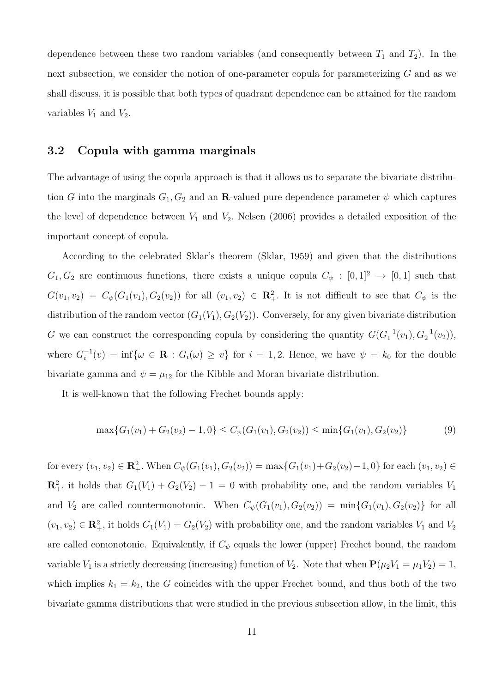dependence between these two random variables (and consequently between  $T_1$  and  $T_2$ ). In the next subsection, we consider the notion of one-parameter copula for parameterizing *G* and as we shall discuss, it is possible that both types of quadrant dependence can be attained for the random variables  $V_1$  and  $V_2$ .

#### **3.2 Copula with gamma marginals**

The advantage of using the copula approach is that it allows us to separate the bivariate distribution *G* into the marginals  $G_1, G_2$  and an **R**-valued pure dependence parameter  $\psi$  which captures the level of dependence between  $V_1$  and  $V_2$ . Nelsen (2006) provides a detailed exposition of the important concept of copula.

According to the celebrated Sklar's theorem (Sklar, 1959) and given that the distributions  $G_1, G_2$  are continuous functions, there exists a unique copula  $C_{\psi} : [0,1]^2 \rightarrow [0,1]$  such that  $G(v_1, v_2) = C_\psi(G_1(v_1), G_2(v_2))$  for all  $(v_1, v_2) \in \mathbb{R}^2_+$ . It is not difficult to see that  $C_\psi$  is the distribution of the random vector  $(G_1(V_1), G_2(V_2))$ . Conversely, for any given bivariate distribution *G* we can construct the corresponding copula by considering the quantity  $G(G_1^{-1}(v_1), G_2^{-1}(v_2))$ , where  $G_i^{-1}(v) = \inf \{ \omega \in \mathbf{R} : G_i(\omega) \geq v \}$  for  $i = 1, 2$ . Hence, we have  $\psi = k_0$  for the double bivariate gamma and  $\psi = \mu_{12}$  for the Kibble and Moran bivariate distribution.

It is well-known that the following Frechet bounds apply:

$$
\max\{G_1(v_1) + G_2(v_2) - 1, 0\} \le C_\psi(G_1(v_1), G_2(v_2)) \le \min\{G_1(v_1), G_2(v_2)\}\tag{9}
$$

for every  $(v_1, v_2) \in \mathbb{R}_+^2$ . When  $C_{\psi}(G_1(v_1), G_2(v_2)) = \max\{G_1(v_1) + G_2(v_2) - 1, 0\}$  for each  $(v_1, v_2) \in$  $\mathbb{R}^2_+$ , it holds that  $G_1(V_1) + G_2(V_2) - 1 = 0$  with probability one, and the random variables  $V_1$ and  $V_2$  are called countermonotonic. When  $C_\psi(G_1(v_1), G_2(v_2)) = \min\{G_1(v_1), G_2(v_2)\}$  for all  $(v_1, v_2) \in \mathbb{R}^2_+$ , it holds  $G_1(V_1) = G_2(V_2)$  with probability one, and the random variables  $V_1$  and  $V_2$ are called comonotonic. Equivalently, if  $C_{\psi}$  equals the lower (upper) Frechet bound, the random variable  $V_1$  is a strictly decreasing (increasing) function of  $V_2$ . Note that when  $\mathbf{P}(\mu_2 V_1 = \mu_1 V_2) = 1$ , which implies  $k_1 = k_2$ , the *G* coincides with the upper Frechet bound, and thus both of the two bivariate gamma distributions that were studied in the previous subsection allow, in the limit, this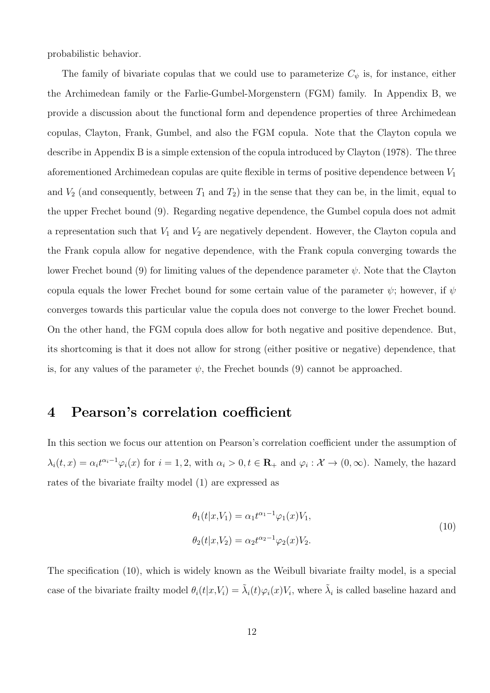probabilistic behavior.

The family of bivariate copulas that we could use to parameterize  $C_{\psi}$  is, for instance, either the Archimedean family or the Farlie-Gumbel-Morgenstern (FGM) family. In Appendix B, we provide a discussion about the functional form and dependence properties of three Archimedean copulas, Clayton, Frank, Gumbel, and also the FGM copula. Note that the Clayton copula we describe in Appendix B is a simple extension of the copula introduced by Clayton (1978). The three aforementioned Archimedean copulas are quite flexible in terms of positive dependence between *V*<sup>1</sup> and  $V_2$  (and consequently, between  $T_1$  and  $T_2$ ) in the sense that they can be, in the limit, equal to the upper Frechet bound (9). Regarding negative dependence, the Gumbel copula does not admit a representation such that *V*<sup>1</sup> and *V*<sup>2</sup> are negatively dependent. However, the Clayton copula and the Frank copula allow for negative dependence, with the Frank copula converging towards the lower Frechet bound (9) for limiting values of the dependence parameter *ψ.* Note that the Clayton copula equals the lower Frechet bound for some certain value of the parameter  $\psi$ ; however, if  $\psi$ converges towards this particular value the copula does not converge to the lower Frechet bound. On the other hand, the FGM copula does allow for both negative and positive dependence. But, its shortcoming is that it does not allow for strong (either positive or negative) dependence, that is, for any values of the parameter  $\psi$ , the Frechet bounds (9) cannot be approached.

### **4 Pearson's correlation coefficient**

In this section we focus our attention on Pearson's correlation coefficient under the assumption of  $\lambda_i(t,x) = \alpha_i t^{\alpha_i - 1} \varphi_i(x)$  for  $i = 1,2$ , with  $\alpha_i > 0, t \in \mathbb{R}_+$  and  $\varphi_i : \mathcal{X} \to (0,\infty)$ . Namely, the hazard rates of the bivariate frailty model (1) are expressed as

$$
\theta_1(t|x, V_1) = \alpha_1 t^{\alpha_1 - 1} \varphi_1(x) V_1,
$$
  
\n
$$
\theta_2(t|x, V_2) = \alpha_2 t^{\alpha_2 - 1} \varphi_2(x) V_2.
$$
\n(10)

The specification (10), which is widely known as the Weibull bivariate frailty model, is a special case of the bivariate frailty model  $\theta_i(t|x,V_i) = \tilde{\lambda}_i(t)\varphi_i(x)V_i$ , where  $\tilde{\lambda}_i$  is called baseline hazard and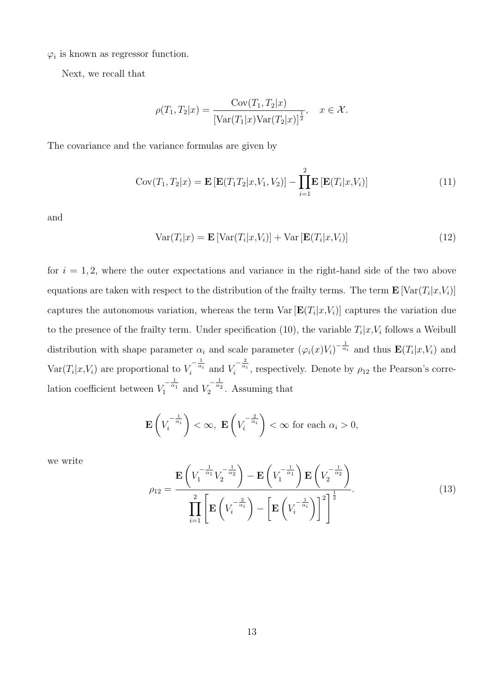$\varphi_i$  is known as regressor function.

Next, we recall that

$$
\rho(T_1, T_2|x) = \frac{\text{Cov}(T_1, T_2|x)}{\left[\text{Var}(T_1|x)\text{Var}(T_2|x)\right]^{\frac{1}{2}}}, \quad x \in \mathcal{X}.
$$

The covariance and the variance formulas are given by

$$
Cov(T_1, T_2|x) = \mathbf{E}\left[\mathbf{E}(T_1T_2|x, V_1, V_2)\right] - \prod_{i=1}^2 \mathbf{E}\left[\mathbf{E}(T_i|x, V_i)\right]
$$
\n(11)

and

$$
Var(T_i|x) = \mathbf{E}\left[Var(T_i|x, V_i)\right] + Var\left[\mathbf{E}(T_i|x, V_i)\right]
$$
\n(12)

for  $i = 1, 2$ , where the outer expectations and variance in the right-hand side of the two above equations are taken with respect to the distribution of the frailty terms. The term  $\mathbf{E}[\text{Var}(T_i|x, V_i)]$ captures the autonomous variation, whereas the term  $\text{Var}[\mathbf{E}(T_i|x,V_i)]$  captures the variation due to the presence of the frailty term. Under specification (10), the variable  $T_i|x, V_i$  follows a Weibull distribution with shape parameter  $\alpha_i$  and scale parameter  $(\varphi_i(x)V_i)^{-\frac{1}{\alpha_i}}$  and thus  $\mathbf{E}(T_i|x,V_i)$  and  $Var(T_i|x,V_i)$  are proportional to  $V_i^{-\frac{1}{\alpha_i}}$  and  $V_i^{-\frac{2}{\alpha_i}}$ , respectively. Denote by  $\rho_{12}$  the Pearson's correlation coefficient between  $V_1^{-\frac{1}{\alpha_1}}$  and  $V_2^{-\frac{1}{\alpha_2}}$ . Assuming that

$$
\mathbf{E}\left(V_i^{-\frac{1}{\alpha_i}}\right) < \infty, \ \mathbf{E}\left(V_i^{-\frac{2}{\alpha_i}}\right) < \infty \ \text{for each } \alpha_i > 0,
$$

we write

$$
\rho_{12} = \frac{\mathbf{E}\left(V_1^{-\frac{1}{\alpha_1}}V_2^{-\frac{1}{\alpha_2}}\right) - \mathbf{E}\left(V_1^{-\frac{1}{\alpha_1}}\right)\mathbf{E}\left(V_2^{-\frac{1}{\alpha_2}}\right)}{\prod_{i=1}^2 \left[\mathbf{E}\left(V_i^{-\frac{2}{\alpha_i}}\right) - \left[\mathbf{E}\left(V_i^{-\frac{1}{\alpha_i}}\right)\right]^2\right]^{\frac{1}{2}}}.
$$
\n(13)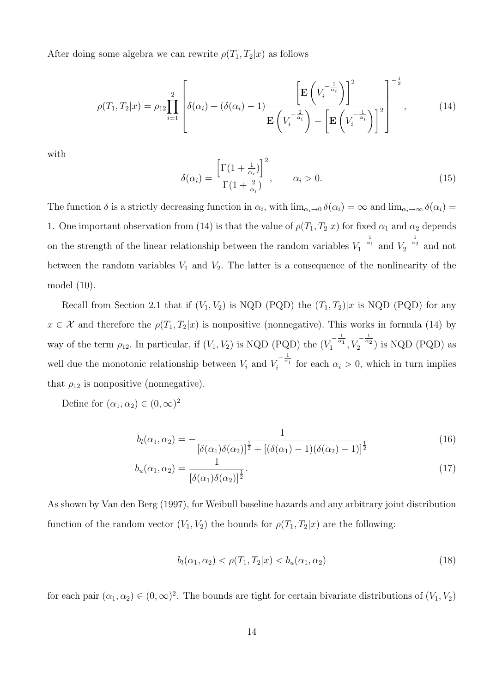After doing some algebra we can rewrite  $\rho(T_1, T_2|x)$  as follows

$$
\rho(T_1, T_2 | x) = \rho_{12} \prod_{i=1}^2 \left[ \delta(\alpha_i) + (\delta(\alpha_i) - 1) \frac{\left[ \mathbf{E} \left( V_i^{-\frac{1}{\alpha_i}} \right) \right]^2}{\mathbf{E} \left( V_i^{-\frac{2}{\alpha_i}} \right) - \left[ \mathbf{E} \left( V_i^{-\frac{1}{\alpha_i}} \right) \right]^2} \right]^{-\frac{1}{2}},
$$
\n(14)

with

$$
\delta(\alpha_i) = \frac{\left[\Gamma(1 + \frac{1}{\alpha_i})\right]^2}{\Gamma(1 + \frac{2}{\alpha_i})}, \qquad \alpha_i > 0.
$$
\n(15)

The function  $\delta$  is a strictly decreasing function in  $\alpha_i$ , with  $\lim_{\alpha_i\to 0} \delta(\alpha_i) = \infty$  and  $\lim_{\alpha_i\to\infty} \delta(\alpha_i) =$ 1. One important observation from (14) is that the value of  $\rho(T_1, T_2|x)$  for fixed  $\alpha_1$  and  $\alpha_2$  depends on the strength of the linear relationship between the random variables  $V_1^{-\frac{1}{\alpha_1}}$  and  $V_2^{-\frac{1}{\alpha_2}}$  and not between the random variables  $V_1$  and  $V_2$ . The latter is a consequence of the nonlinearity of the model (10).

Recall from Section 2.1 that if  $(V_1, V_2)$  is NQD (PQD) the  $(T_1, T_2)|x$  is NQD (PQD) for any  $x \in \mathcal{X}$  and therefore the  $\rho(T_1, T_2|x)$  is nonpositive (nonnegative). This works in formula (14) by way of the term  $\rho_{12}$ . In particular, if  $(V_1, V_2)$  is NQD (PQD) the  $(V_1^{-\frac{1}{\alpha_1}}, V_2^{-\frac{1}{\alpha_2}})$  is NQD (PQD) as well due the monotonic relationship between  $V_i$  and  $V_i^{-\frac{1}{\alpha_i}}$  for each  $\alpha_i > 0$ , which in turn implies that  $\rho_{12}$  is nonpositive (nonnegative).

Define for  $(\alpha_1, \alpha_2) \in (0, \infty)^2$ 

$$
b_l(\alpha_1, \alpha_2) = -\frac{1}{\left[\delta(\alpha_1)\delta(\alpha_2)\right]^{\frac{1}{2}} + \left[\left(\delta(\alpha_1) - 1\right)\left(\delta(\alpha_2) - 1\right)\right]^{\frac{1}{2}}}
$$
(16)

$$
b_u(\alpha_1, \alpha_2) = \frac{1}{\left[\delta(\alpha_1)\delta(\alpha_2)\right]^{\frac{1}{2}}}.
$$
\n(17)

As shown by Van den Berg (1997), for Weibull baseline hazards and any arbitrary joint distribution function of the random vector  $(V_1, V_2)$  the bounds for  $\rho(T_1, T_2|x)$  are the following:

$$
b_l(\alpha_1, \alpha_2) < \rho(T_1, T_2 | x) < b_u(\alpha_1, \alpha_2) \tag{18}
$$

for each pair  $(\alpha_1, \alpha_2) \in (0, \infty)^2$ . The bounds are tight for certain bivariate distributions of  $(V_1, V_2)$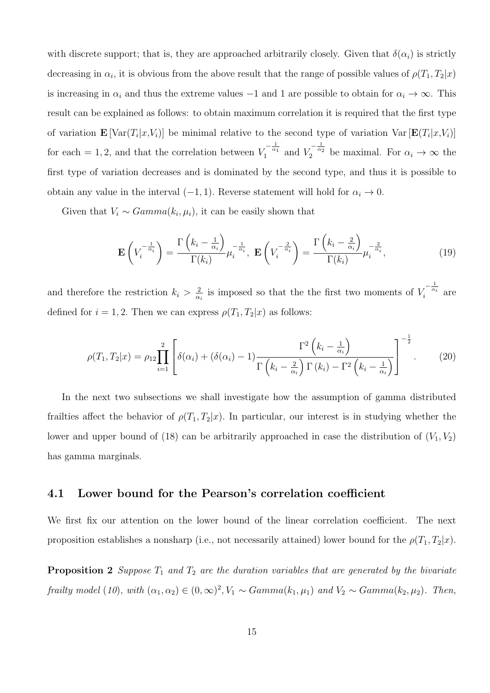with discrete support; that is, they are approached arbitrarily closely. Given that  $\delta(\alpha_i)$  is strictly decreasing in  $\alpha_i$ , it is obvious from the above result that the range of possible values of  $\rho(T_1, T_2|x)$ is increasing in  $\alpha_i$  and thus the extreme values  $-1$  and 1 are possible to obtain for  $\alpha_i \to \infty$ . This result can be explained as follows: to obtain maximum correlation it is required that the first type of variation  $\mathbf{E} \left[ \text{Var}(T_i | x, V_i) \right]$  be minimal relative to the second type of variation  $\text{Var} \left[ \mathbf{E}(T_i | x, V_i) \right]$ for each = 1, 2, and that the correlation between  $V_1^{-\frac{1}{\alpha_1}}$  and  $V_2^{-\frac{1}{\alpha_2}}$  be maximal. For  $\alpha_i \to \infty$  the first type of variation decreases and is dominated by the second type, and thus it is possible to obtain any value in the interval  $(-1, 1)$ *.* Reverse statement will hold for  $\alpha_i \to 0$ *.* 

Given that  $V_i \sim Gamma(k_i, \mu_i)$ , it can be easily shown that

$$
\mathbf{E}\left(V_i^{-\frac{1}{\alpha_i}}\right) = \frac{\Gamma\left(k_i - \frac{1}{\alpha_i}\right)}{\Gamma(k_i)}\mu_i^{-\frac{1}{\alpha_i}}, \ \mathbf{E}\left(V_i^{-\frac{2}{\alpha_i}}\right) = \frac{\Gamma\left(k_i - \frac{2}{\alpha_i}\right)}{\Gamma(k_i)}\mu_i^{-\frac{2}{\alpha_i}},\tag{19}
$$

and therefore the restriction  $k_i > \frac{2}{\alpha}$  $\frac{2}{\alpha_i}$  is imposed so that the the first two moments of  $V_i^{-\frac{1}{\alpha_i}}$  are defined for  $i = 1, 2$ . Then we can express  $\rho(T_1, T_2|x)$  as follows:

$$
\rho(T_1, T_2|x) = \rho_{12} \prod_{i=1}^2 \left[ \delta(\alpha_i) + (\delta(\alpha_i) - 1) \frac{\Gamma^2 \left(k_i - \frac{1}{\alpha_i}\right)}{\Gamma \left(k_i - \frac{2}{\alpha_i}\right) \Gamma(k_i) - \Gamma^2 \left(k_i - \frac{1}{\alpha_i}\right)} \right]^{-\frac{1}{2}}.
$$
(20)

In the next two subsections we shall investigate how the assumption of gamma distributed frailties affect the behavior of  $\rho(T_1, T_2|x)$ . In particular, our interest is in studying whether the lower and upper bound of (18) can be arbitrarily approached in case the distribution of  $(V_1, V_2)$ has gamma marginals.

#### **4.1 Lower bound for the Pearson's correlation coefficient**

We first fix our attention on the lower bound of the linear correlation coefficient. The next proposition establishes a nonsharp (i.e., not necessarily attained) lower bound for the  $\rho(T_1, T_2|x)$ .

**Proposition 2** *Suppose*  $T_1$  *and*  $T_2$  *are the duration variables that are generated by the bivariate* frailty model (10), with  $(\alpha_1, \alpha_2) \in (0, \infty)^2$ ,  $V_1 \sim Gamma(k_1, \mu_1)$  and  $V_2 \sim Gamma(k_2, \mu_2)$ . Then,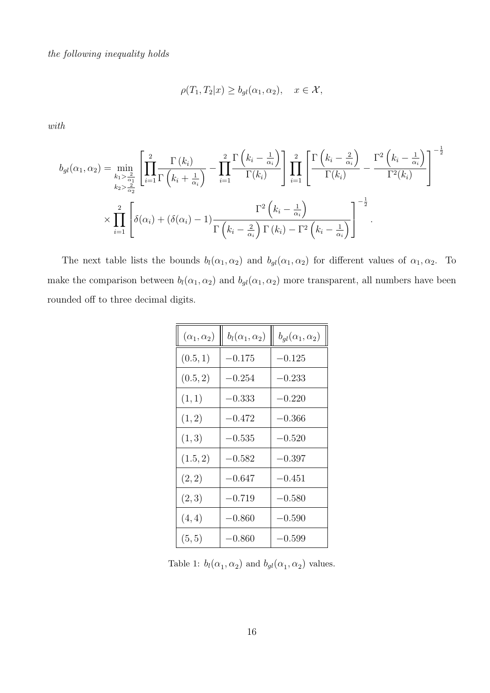*the following inequality holds*

$$
\rho(T_1, T_2|x) \ge b_{gl}(\alpha_1, \alpha_2), \quad x \in \mathcal{X},
$$

*with*

$$
b_{gl}(\alpha_1, \alpha_2) = \min_{\substack{k_1 > \frac{2}{\alpha_1} \\ k_2 > \frac{2}{\alpha_2}}} \left[ \prod_{i=1}^2 \frac{\Gamma(k_i)}{\Gamma(k_i + \frac{1}{\alpha_i})} - \prod_{i=1}^2 \frac{\Gamma(k_i - \frac{1}{\alpha_i})}{\Gamma(k_i)} \right] \prod_{i=1}^2 \left[ \frac{\Gamma(k_i - \frac{2}{\alpha_i})}{\Gamma(k_i)} - \frac{\Gamma^2(k_i - \frac{1}{\alpha_i})}{\Gamma^2(k_i)} \right]^{-\frac{1}{2}}
$$

$$
\times \prod_{i=1}^2 \left[ \delta(\alpha_i) + (\delta(\alpha_i) - 1) \frac{\Gamma^2(k_i - \frac{1}{\alpha_i})}{\Gamma(k_i - \frac{2}{\alpha_i}) \Gamma(k_i) - \Gamma^2(k_i - \frac{1}{\alpha_i})} \right]^{-\frac{1}{2}}
$$

The next table lists the bounds  $b_l(\alpha_1, \alpha_2)$  and  $b_{gl}(\alpha_1, \alpha_2)$  for different values of  $\alpha_1, \alpha_2$ . To make the comparison between  $b_l(\alpha_1, \alpha_2)$  and  $b_{gl}(\alpha_1, \alpha_2)$  more transparent, all numbers have been rounded off to three decimal digits.

| $(\alpha_1,\alpha_2)$ | $b_l(\alpha_1,\alpha_2)$ | $b_{ql}(\alpha_1,\alpha_2)$ |
|-----------------------|--------------------------|-----------------------------|
| (0.5, 1)              | $-0.175$                 | $-0.125$                    |
| (0.5, 2)              | $-0.254$                 | $-0.233$                    |
| (1, 1)                | $-0.333$                 | $-0.220$                    |
| (1, 2)                | $-0.472$                 | $-0.366$                    |
| (1, 3)                | $-0.535$                 | $-0.520$                    |
| (1.5, 2)              | $-0.582$                 | $-0.397$                    |
| (2, 2)                | $-0.647$                 | $-0.451$                    |
| (2,3)                 | $-0.719$                 | $-0.580$                    |
| (4, 4)                | $-0.860$                 | $-0.590$                    |
| (5, 5)                | $-0.860$                 | $-0.599$                    |

Table 1:  $b_l(\alpha_1, \alpha_2)$  and  $b_{gl}(\alpha_1, \alpha_2)$  values.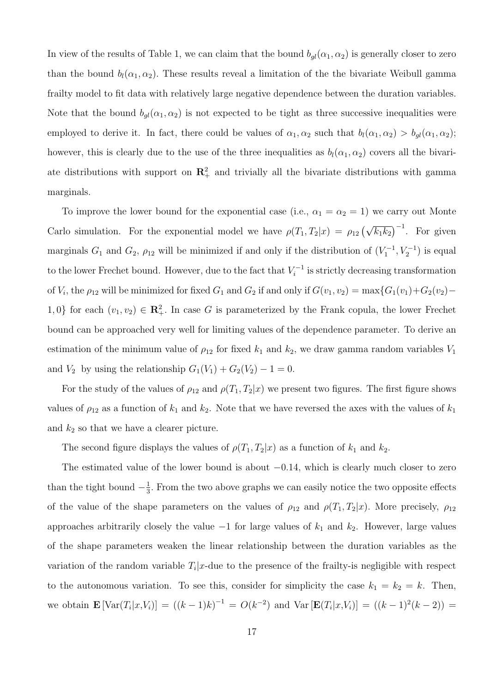In view of the results of Table 1, we can claim that the bound  $b_{gl}(\alpha_1, \alpha_2)$  is generally closer to zero than the bound  $b_l(\alpha_1, \alpha_2)$ . These results reveal a limitation of the the bivariate Weibull gamma frailty model to fit data with relatively large negative dependence between the duration variables. Note that the bound  $b_{gl}(\alpha_1, \alpha_2)$  is not expected to be tight as three successive inequalities were employed to derive it. In fact, there could be values of  $\alpha_1, \alpha_2$  such that  $b_l(\alpha_1, \alpha_2) > b_{gl}(\alpha_1, \alpha_2)$ ; however, this is clearly due to the use of the three inequalities as  $b_l(\alpha_1, \alpha_2)$  covers all the bivariate distributions with support on  $\mathbb{R}^2_+$  and trivially all the bivariate distributions with gamma marginals.

To improve the lower bound for the exponential case (i.e.,  $\alpha_1 = \alpha_2 = 1$ ) we carry out Monte Carlo simulation. For the exponential model we have  $\rho(T_1, T_2|x) = \rho_{12} (\sqrt{k_1 k_2})^{-1}$ . For given marginals  $G_1$  and  $G_2$ ,  $\rho_{12}$  will be minimized if and only if the distribution of  $(V_1^{-1}, V_2^{-1})$  is equal to the lower Frechet bound. However, due to the fact that  $V_i^{-1}$  is strictly decreasing transformation of  $V_i$ , the  $\rho_{12}$  will be minimized for fixed  $G_1$  and  $G_2$  if and only if  $G(v_1, v_2) = \max\{G_1(v_1) + G_2(v_2) -$ 1,0} for each  $(v_1, v_2) \in \mathbb{R}^2_+$ . In case *G* is parameterized by the Frank copula, the lower Frechet bound can be approached very well for limiting values of the dependence parameter. To derive an estimation of the minimum value of  $\rho_{12}$  for fixed  $k_1$  and  $k_2$ , we draw gamma random variables  $V_1$ and *V*<sub>2</sub> by using the relationship  $G_1(V_1) + G_2(V_2) - 1 = 0$ .

For the study of the values of  $\rho_{12}$  and  $\rho(T_1, T_2|x)$  we present two figures. The first figure shows values of  $\rho_{12}$  as a function of  $k_1$  and  $k_2$ . Note that we have reversed the axes with the values of  $k_1$ and  $k_2$  so that we have a clearer picture.

The second figure displays the values of  $\rho(T_1, T_2|x)$  as a function of  $k_1$  and  $k_2$ .

The estimated value of the lower bound is about *−*0*.*14*,* which is clearly much closer to zero than the tight bound  $-\frac{1}{3}$  $\frac{1}{3}$ . From the two above graphs we can easily notice the two opposite effects of the value of the shape parameters on the values of  $\rho_{12}$  and  $\rho(T_1, T_2|x)$ . More precisely,  $\rho_{12}$ approaches arbitrarily closely the value *−*1 for large values of *k*<sup>1</sup> and *k*2. However, large values of the shape parameters weaken the linear relationship between the duration variables as the variation of the random variable  $T_i|x$ -due to the presence of the frailty-is negligible with respect to the autonomous variation. To see this, consider for simplicity the case  $k_1 = k_2 = k$ . Then, we obtain  $\mathbf{E}[\text{Var}(T_i|x,V_i)] = ((k-1)k)^{-1} = O(k^{-2})$  and  $\text{Var}[\mathbf{E}(T_i|x,V_i)] = ((k-1)^2(k-2)) =$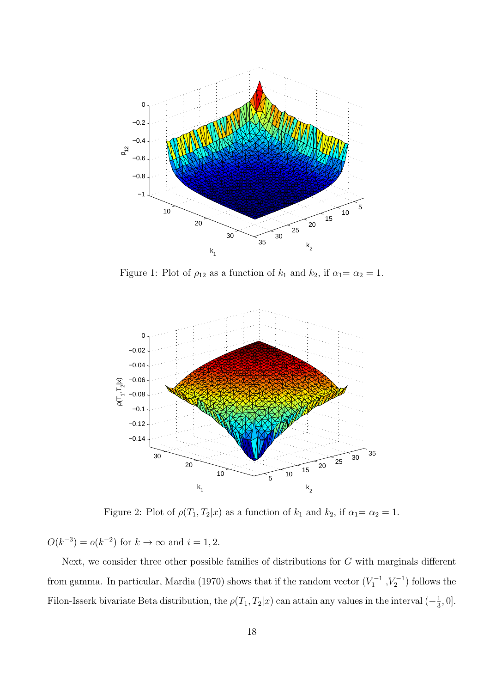

Figure 1: Plot of  $\rho_{12}$  as a function of  $k_1$  and  $k_2$ , if  $\alpha_1 = \alpha_2 = 1$ .



Figure 2: Plot of  $\rho(T_1, T_2|x)$  as a function of  $k_1$  and  $k_2$ , if  $\alpha_1 = \alpha_2 = 1$ .

 $O(k^{-3}) = o(k^{-2})$  for  $k \to \infty$  and  $i = 1, 2$ .

Next, we consider three other possible families of distributions for *G* with marginals different from gamma. In particular, Mardia (1970) shows that if the random vector  $(V_1^{-1}, V_2^{-1})$  follows the Filon-Isserk bivariate Beta distribution, the  $\rho(T_1, T_2|x)$  can attain any values in the interval  $\left(-\frac{1}{3}\right)$  $\frac{1}{3}, 0].$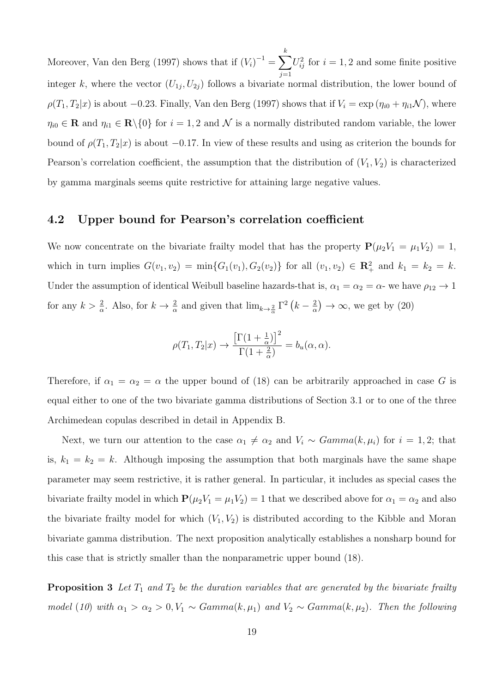Moreover, Van den Berg (1997) shows that if  $(V_i)^{-1} = \sum^k$ *j*=1  $U_{ij}^2$  for  $i = 1, 2$  and some finite positive integer *k*, where the vector  $(U_{1j}, U_{2j})$  follows a bivariate normal distribution, the lower bound of  $\rho(T_1, T_2|x)$  is about *−*0*.*23*.* Finally, Van den Berg (1997) shows that if  $V_i = \exp(\eta_{i0} + \eta_{i1}N)$ , where  $\eta_{i0} \in \mathbf{R}$  and  $\eta_{i1} \in \mathbf{R} \setminus \{0\}$  for  $i = 1, 2$  and  $\mathcal{N}$  is a normally distributed random variable, the lower bound of  $\rho(T_1, T_2|x)$  is about  $-0.17$ . In view of these results and using as criterion the bounds for Pearson's correlation coefficient, the assumption that the distribution of  $(V_1, V_2)$  is characterized by gamma marginals seems quite restrictive for attaining large negative values.

#### **4.2 Upper bound for Pearson's correlation coefficient**

We now concentrate on the bivariate frailty model that has the property  $P(\mu_2 V_1 = \mu_1 V_2) = 1$ , which in turn implies  $G(v_1, v_2) = \min\{G_1(v_1), G_2(v_2)\}\)$  for all  $(v_1, v_2) \in \mathbb{R}^2_+$  and  $k_1 = k_2 = k$ . Under the assumption of identical Weibull baseline hazards-that is,  $\alpha_1 = \alpha_2 = \alpha$ - we have  $\rho_{12} \rightarrow 1$ for any  $k > \frac{2}{\alpha}$ . Also, for  $k \to \frac{2}{\alpha}$  and given that  $\lim_{k \to \frac{2}{\alpha}} \Gamma^2 (k - \frac{2}{\alpha})$  $\frac{2}{\alpha}$   $\rightarrow \infty$ , we get by (20)

$$
\rho(T_1, T_2|x) \to \frac{\left[\Gamma(1 + \frac{1}{\alpha})\right]^2}{\Gamma(1 + \frac{2}{\alpha})} = b_u(\alpha, \alpha).
$$

Therefore, if  $\alpha_1 = \alpha_2 = \alpha$  the upper bound of (18) can be arbitrarily approached in case *G* is equal either to one of the two bivariate gamma distributions of Section 3.1 or to one of the three Archimedean copulas described in detail in Appendix B.

Next, we turn our attention to the case  $\alpha_1 \neq \alpha_2$  and  $V_i \sim \text{Gamma}(k, \mu_i)$  for  $i = 1, 2$ ; that is,  $k_1 = k_2 = k$ . Although imposing the assumption that both marginals have the same shape parameter may seem restrictive, it is rather general. In particular, it includes as special cases the bivariate frailty model in which  $P(\mu_2 V_1 = \mu_1 V_2) = 1$  that we described above for  $\alpha_1 = \alpha_2$  and also the bivariate frailty model for which  $(V_1, V_2)$  is distributed according to the Kibble and Moran bivariate gamma distribution. The next proposition analytically establishes a nonsharp bound for this case that is strictly smaller than the nonparametric upper bound (18).

**Proposition 3** Let  $T_1$  and  $T_2$  be the duration variables that are generated by the bivariate frailty *model* (*10*) *with*  $\alpha_1 > \alpha_2 > 0, V_1 \sim \text{Gamma}(k, \mu_1)$  *and*  $V_2 \sim \text{Gamma}(k, \mu_2)$ *. Then the following*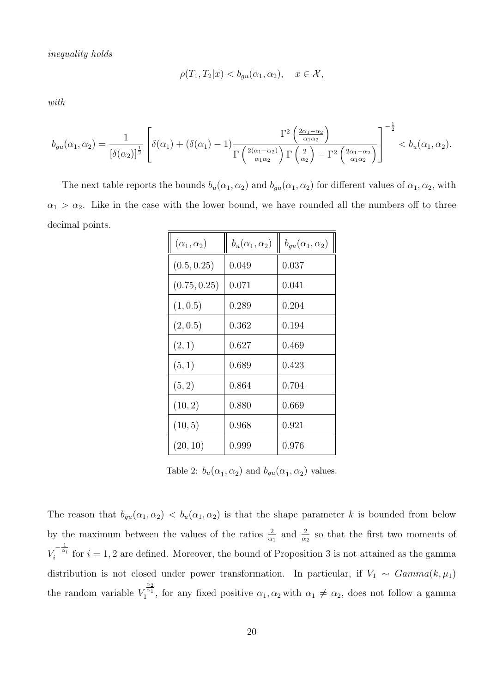*inequality holds*

$$
\rho(T_1, T_2|x) < b_{gu}(\alpha_1, \alpha_2), \quad x \in \mathcal{X},
$$

*with*

$$
b_{gu}(\alpha_1, \alpha_2) = \frac{1}{\left[\delta(\alpha_2)\right]^{\frac{1}{2}}} \left[\delta(\alpha_1) + \left(\delta(\alpha_1) - 1\right) \frac{\Gamma^2\left(\frac{2\alpha_1 - \alpha_2}{\alpha_1 \alpha_2}\right)}{\Gamma\left(\frac{2(\alpha_1 - \alpha_2)}{\alpha_1 \alpha_2}\right) \Gamma\left(\frac{2}{\alpha_2}\right) - \Gamma^2\left(\frac{2\alpha_1 - \alpha_2}{\alpha_1 \alpha_2}\right)}\right]^{-\frac{1}{2}} < b_u(\alpha_1, \alpha_2).
$$

The next table reports the bounds  $b_u(\alpha_1, \alpha_2)$  and  $b_{gu}(\alpha_1, \alpha_2)$  for different values of  $\alpha_1, \alpha_2$ , with  $a_1 > a_2$ . Like in the case with the lower bound, we have rounded all the numbers off to three decimal points.

| $(\alpha_1,\alpha_2)$ | $b_u(\alpha_1,\alpha_2)$ | $b_{qu}(\alpha_1,\alpha_2)$ |
|-----------------------|--------------------------|-----------------------------|
| (0.5, 0.25)           | 0.049                    | 0.037                       |
| (0.75, 0.25)          | 0.071                    | 0.041                       |
| (1, 0.5)              | 0.289                    | 0.204                       |
| (2, 0.5)              | 0.362                    | 0.194                       |
| (2,1)                 | 0.627                    | 0.469                       |
| (5,1)                 | 0.689                    | 0.423                       |
| (5, 2)                | 0.864                    | 0.704                       |
| (10, 2)               | 0.880                    | 0.669                       |
| (10, 5)               | 0.968                    | 0.921                       |
| (20, 10)              | 0.999                    | 0.976                       |

Table 2:  $b_u(\alpha_1, \alpha_2)$  and  $b_{gu}(\alpha_1, \alpha_2)$  values.

The reason that  $b_{gu}(\alpha_1, \alpha_2)$  is that the shape parameter k is bounded from below by the maximum between the values of the ratios  $\frac{2}{\alpha_1}$  and  $\frac{2}{\alpha_2}$  so that the first two moments of  $V_i^{-\frac{1}{\alpha_i}}$  for  $i = 1, 2$  are defined. Moreover, the bound of Proposition 3 is not attained as the gamma distribution is not closed under power transformation. In particular, if  $V_1 \sim \text{Gamma}(k, \mu_1)$ the random variable *V*  $\alpha_1^{\frac{\alpha_2}{\alpha_1}}$ , for any fixed positive  $\alpha_1, \alpha_2$  with  $\alpha_1 \neq \alpha_2$ , does not follow a gamma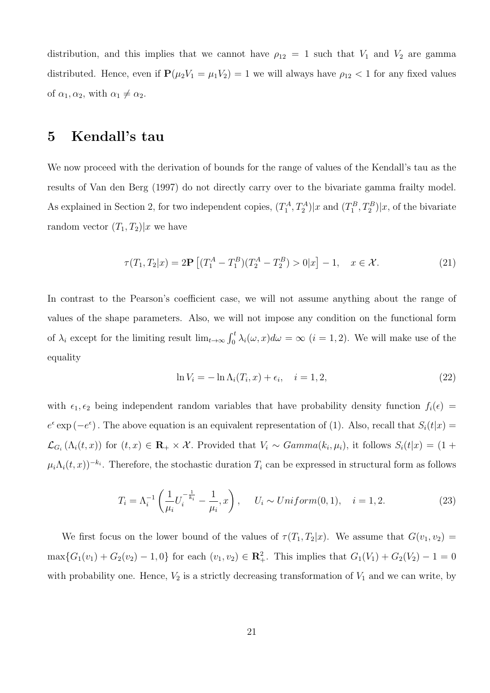distribution, and this implies that we cannot have  $\rho_{12} = 1$  such that  $V_1$  and  $V_2$  are gamma distributed. Hence, even if  $P(\mu_2 V_1 = \mu_1 V_2) = 1$  we will always have  $\rho_{12} < 1$  for any fixed values of  $\alpha_1, \alpha_2$ , with  $\alpha_1 \neq \alpha_2$ .

# **5 Kendall's tau**

We now proceed with the derivation of bounds for the range of values of the Kendall's tau as the results of Van den Berg (1997) do not directly carry over to the bivariate gamma frailty model. As explained in Section 2, for two independent copies,  $(T_1^A, T_2^A)|x$  and  $(T_1^B, T_2^B)|x$ , of the bivariate random vector  $(T_1, T_2)|x$  we have

$$
\tau(T_1, T_2|x) = 2\mathbf{P} \left[ (T_1^A - T_1^B)(T_2^A - T_2^B) > 0|x \right] - 1, \quad x \in \mathcal{X}.
$$
 (21)

In contrast to the Pearson's coefficient case, we will not assume anything about the range of values of the shape parameters. Also, we will not impose any condition on the functional form of  $\lambda_i$  except for the limiting result  $\lim_{t\to\infty} \int_0^t \lambda_i(\omega, x) d\omega = \infty$   $(i = 1, 2)$ . We will make use of the equality

$$
\ln V_i = -\ln \Lambda_i(T_i, x) + \epsilon_i, \quad i = 1, 2,
$$
\n
$$
(22)
$$

with  $\epsilon_1, \epsilon_2$  being independent random variables that have probability density function  $f_i(\epsilon)$  $e^{\epsilon}$  exp (*−e*<sup> $\epsilon$ </sup>). The above equation is an equivalent representation of (1). Also, recall that *S*<sub>*i*</sub>(*t*|*x*) =  $\mathcal{L}_{G_i}(\Lambda_i(t,x))$  for  $(t,x) \in \mathbf{R}_+ \times \mathcal{X}$ . Provided that  $V_i \sim Gamma(k_i, \mu_i)$ , it follows  $S_i(t|x) = (1 +$  $\mu_i \Lambda_i(t, x)$ )<sup>−*ki*</sup>. Therefore, the stochastic duration  $T_i$  can be expressed in structural form as follows

$$
T_i = \Lambda_i^{-1} \left( \frac{1}{\mu_i} U_i^{-\frac{1}{k_i}} - \frac{1}{\mu_i}, x \right), \quad U_i \sim Uniform(0, 1), \quad i = 1, 2. \tag{23}
$$

We first focus on the lower bound of the values of  $\tau(T_1, T_2|x)$ . We assume that  $G(v_1, v_2)$  $\max\{G_1(v_1) + G_2(v_2) - 1, 0\}$  for each  $(v_1, v_2) \in \mathbb{R}^2_+$ . This implies that  $G_1(V_1) + G_2(V_2) - 1 = 0$ with probability one. Hence,  $V_2$  is a strictly decreasing transformation of  $V_1$  and we can write, by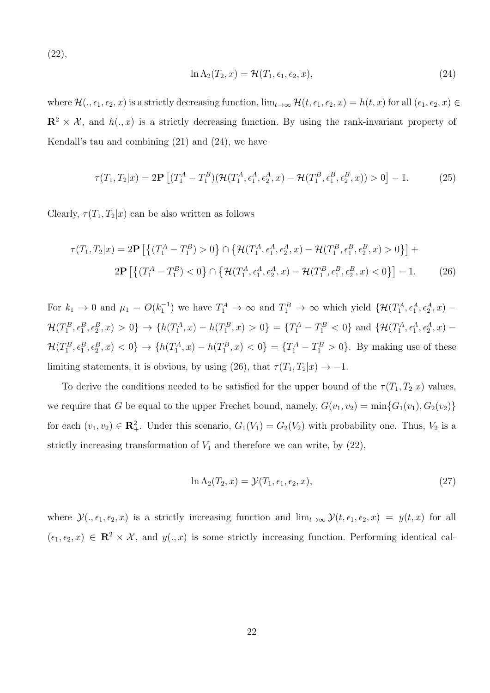(22),

$$
\ln \Lambda_2(T_2, x) = \mathcal{H}(T_1, \epsilon_1, \epsilon_2, x),\tag{24}
$$

where  $\mathcal{H}(\cdot, \epsilon_1, \epsilon_2, x)$  is a strictly decreasing function,  $\lim_{t\to\infty} \mathcal{H}(t, \epsilon_1, \epsilon_2, x) = h(t, x)$  for all  $(\epsilon_1, \epsilon_2, x) \in$  $\mathbb{R}^2 \times \mathcal{X}$ , and  $h(.,x)$  is a strictly decreasing function. By using the rank-invariant property of Kendall's tau and combining (21) and (24), we have

$$
\tau(T_1, T_2 | x) = 2\mathbf{P} \left[ (T_1^A - T_1^B) (\mathcal{H}(T_1^A, \epsilon_1^A, \epsilon_2^A, x) - \mathcal{H}(T_1^B, \epsilon_1^B, \epsilon_2^B, x)) > 0 \right] - 1. \tag{25}
$$

Clearly,  $\tau(T_1, T_2|x)$  can be also written as follows

$$
\tau(T_1, T_2|x) = 2\mathbf{P}\left[\left\{(T_1^A - T_1^B) > 0\right\} \cap \left\{\mathcal{H}(T_1^A, \epsilon_1^A, \epsilon_2^A, x) - \mathcal{H}(T_1^B, \epsilon_1^B, \epsilon_2^B, x) > 0\right\}\right] + 2\mathbf{P}\left[\left\{(T_1^A - T_1^B) < 0\right\} \cap \left\{\mathcal{H}(T_1^A, \epsilon_1^A, \epsilon_2^A, x) - \mathcal{H}(T_1^B, \epsilon_1^B, \epsilon_2^B, x) < 0\right\}\right] - 1.
$$
 (26)

For  $k_1 \to 0$  and  $\mu_1 = O(k_1^{-1})$  we have  $T_1^A \to \infty$  and  $T_1^B \to \infty$  which yield  $\{ \mathcal{H}(T_1^A, \epsilon_1^A, \epsilon_2^A, x)$  $\mathcal{H}(T_1^B, \epsilon_1^B, \epsilon_2^B, x) > 0$   $\} \to \{h(T_1^A, x) - h(T_1^B, x) > 0\} = \{T_1^A - T_1^B < 0\}$  and  $\{\mathcal{H}(T_1^A, \epsilon_1^A, \epsilon_2^A, x) \mathcal{H}(T_1^B, \epsilon_1^B, \epsilon_2^B, x) < 0$   $\} \to \{h(T_1^A, x) - h(T_1^B, x) < 0\} = \{T_1^A - T_1^B > 0\}$ . By making use of these limiting statements, it is obvious, by using (26), that  $\tau(T_1, T_2|x) \to -1$ .

To derive the conditions needed to be satisfied for the upper bound of the  $\tau(T_1, T_2|x)$  values, we require that *G* be equal to the upper Frechet bound, namely,  $G(v_1, v_2) = \min\{G_1(v_1), G_2(v_2)\}$ for each  $(v_1, v_2) \in \mathbb{R}^2_+$ . Under this scenario,  $G_1(V_1) = G_2(V_2)$  with probability one. Thus,  $V_2$  is a strictly increasing transformation of  $V_1$  and therefore we can write, by  $(22)$ ,

$$
\ln \Lambda_2(T_2, x) = \mathcal{Y}(T_1, \epsilon_1, \epsilon_2, x),\tag{27}
$$

where  $\mathcal{Y}(., \epsilon_1, \epsilon_2, x)$  is a strictly increasing function and  $\lim_{t\to\infty} \mathcal{Y}(t, \epsilon_1, \epsilon_2, x) = y(t, x)$  for all  $(\epsilon_1, \epsilon_2, x) \in \mathbb{R}^2 \times \mathcal{X}$ , and  $y(., x)$  is some strictly increasing function. Performing identical cal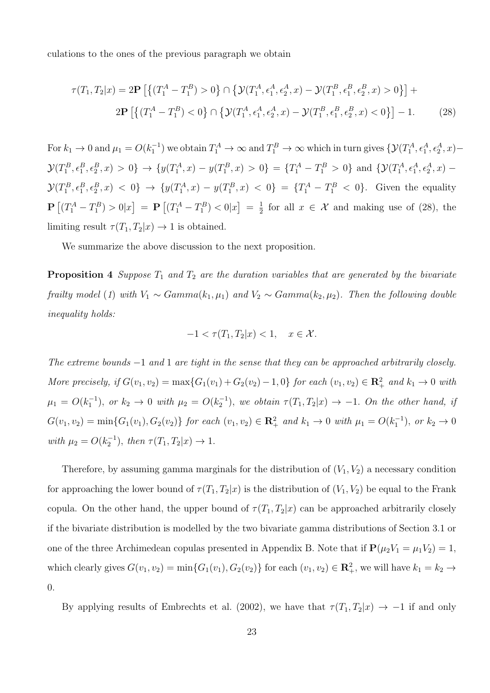culations to the ones of the previous paragraph we obtain

$$
\tau(T_1, T_2|x) = 2\mathbf{P}\left[\left\{(T_1^A - T_1^B) > 0\right\} \cap \left\{\mathcal{Y}(T_1^A, \epsilon_1^A, \epsilon_2^A, x) - \mathcal{Y}(T_1^B, \epsilon_1^B, \epsilon_2^B, x) > 0\right\}\right] + 2\mathbf{P}\left[\left\{(T_1^A - T_1^B) < 0\right\} \cap \left\{\mathcal{Y}(T_1^A, \epsilon_1^A, \epsilon_2^A, x) - \mathcal{Y}(T_1^B, \epsilon_1^B, \epsilon_2^B, x) < 0\right\}\right] - 1. \tag{28}
$$

For  $k_1 \to 0$  and  $\mu_1 = O(k_1^{-1})$  we obtain  $T_1^A \to \infty$  and  $T_1^B \to \infty$  which in turn gives  $\{\mathcal{Y}(T_1^A, \epsilon_1^A, \epsilon_2^A, x)$  $\mathcal{Y}(T_1^B, \epsilon_1^B, \epsilon_2^B, x) > 0$   $\} \to \{y(T_1^A, x) - y(T_1^B, x) > 0\} = \{T_1^A - T_1^B > 0\}$  and  $\{\mathcal{Y}(T_1^A, \epsilon_1^A, \epsilon_2^A, x)$  $\mathcal{Y}(T_1^B, \epsilon_1^B, \epsilon_2^B, x) < 0$   $\} \to \{y(T_1^A, x) - y(T_1^B, x) < 0\} = \{T_1^A - T_1^B < 0\}$ . Given the equality  $\mathbf{P}\left[ (T_1^A - T_1^B) > 0 | x \right] = \mathbf{P}\left[ (T_1^A - T_1^B) < 0 | x \right] = \frac{1}{2}$  $\frac{1}{2}$  for all  $x \in \mathcal{X}$  and making use of (28), the limiting result  $\tau(T_1, T_2|x) \to 1$  is obtained.

We summarize the above discussion to the next proposition.

**Proposition 4** *Suppose*  $T_1$  *and*  $T_2$  *are the duration variables that are generated by the bivariate frailty model* (*1*) *with*  $V_1 \sim \text{Gamma}(k_1, \mu_1)$  *and*  $V_2 \sim \text{Gamma}(k_2, \mu_2)$ *. Then the following double inequality holds:*

$$
-1 < \tau(T_1, T_2 | x) < 1, \quad x \in \mathcal{X}.
$$

*The extreme bounds −*1 *and* 1 *are tight in the sense that they can be approached arbitrarily closely.* More precisely, if  $G(v_1, v_2) = \max\{G_1(v_1) + G_2(v_2) - 1, 0\}$  for each  $(v_1, v_2) \in \mathbb{R}^2_+$  and  $k_1 \to 0$  with  $\mu_1 = O(k_1^{-1})$ , or  $k_2 \to 0$  with  $\mu_2 = O(k_2^{-1})$ , we obtain  $\tau(T_1, T_2 | x) \to -1$ . On the other hand, if  $G(v_1, v_2) = \min\{G_1(v_1), G_2(v_2)\}\$  for each  $(v_1, v_2) \in \mathbb{R}^2_+$  and  $k_1 \to 0$  with  $\mu_1 = O(k_1^{-1})$ , or  $k_2 \to 0$  $with \ \mu_2 = O(k_2^{-1}), \ then \ \tau(T_1, T_2|x) \to 1.$ 

Therefore, by assuming gamma marginals for the distribution of  $(V_1, V_2)$  a necessary condition for approaching the lower bound of  $\tau(T_1, T_2|x)$  is the distribution of  $(V_1, V_2)$  be equal to the Frank copula. On the other hand, the upper bound of  $\tau(T_1, T_2|x)$  can be approached arbitrarily closely if the bivariate distribution is modelled by the two bivariate gamma distributions of Section 3.1 or one of the three Archimedean copulas presented in Appendix B. Note that if  $P(\mu_2 V_1 = \mu_1 V_2) = 1$ , which clearly gives  $G(v_1, v_2) = \min\{G_1(v_1), G_2(v_2)\}\$ for each  $(v_1, v_2) \in \mathbb{R}^2_+$ , we will have  $k_1 = k_2 \rightarrow$ 0*.*

By applying results of Embrechts et al. (2002), we have that  $\tau(T_1, T_2|x) \to -1$  if and only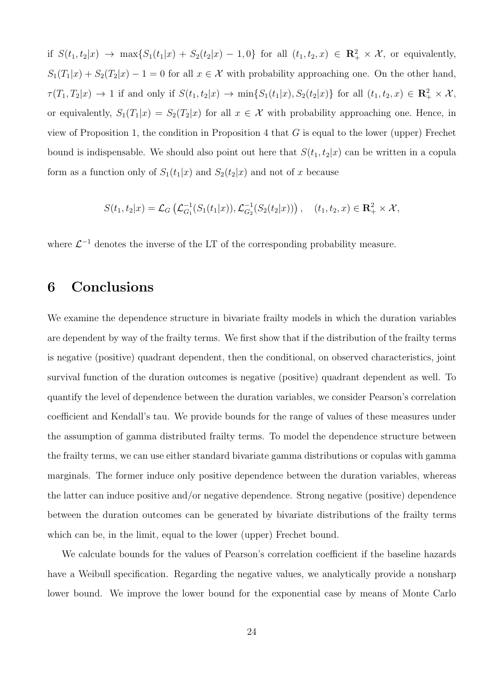if  $S(t_1,t_2|x) \to \max\{S_1(t_1|x) + S_2(t_2|x) - 1,0\}$  for all  $(t_1,t_2,x) \in \mathbb{R}^2_+ \times \mathcal{X}$ , or equivalently,  $S_1(T_1|x) + S_2(T_2|x) - 1 = 0$  for all  $x \in \mathcal{X}$  with probability approaching one. On the other hand,  $\tau(T_1,T_2|x) \to 1$  if and only if  $S(t_1,t_2|x) \to \min\{S_1(t_1|x),S_2(t_2|x)\}\)$  for all  $(t_1,t_2,x) \in \mathbb{R}_+^2 \times \mathcal{X}$ , or equivalently,  $S_1(T_1|x) = S_2(T_2|x)$  for all  $x \in \mathcal{X}$  with probability approaching one. Hence, in view of Proposition 1, the condition in Proposition 4 that *G* is equal to the lower (upper) Frechet bound is indispensable. We should also point out here that  $S(t_1, t_2|x)$  can be written in a copula form as a function only of  $S_1(t_1|x)$  and  $S_2(t_2|x)$  and not of *x* because

$$
S(t_1, t_2 | x) = \mathcal{L}_G \left( \mathcal{L}_{G_1}^{-1}(S_1(t_1 | x)), \mathcal{L}_{G_2}^{-1}(S_2(t_2 | x)) \right), \quad (t_1, t_2, x) \in \mathbb{R}_+^2 \times \mathcal{X},
$$

where  $\mathcal{L}^{-1}$  denotes the inverse of the LT of the corresponding probability measure.

# **6 Conclusions**

We examine the dependence structure in bivariate frailty models in which the duration variables are dependent by way of the frailty terms. We first show that if the distribution of the frailty terms is negative (positive) quadrant dependent, then the conditional, on observed characteristics, joint survival function of the duration outcomes is negative (positive) quadrant dependent as well. To quantify the level of dependence between the duration variables, we consider Pearson's correlation coefficient and Kendall's tau. We provide bounds for the range of values of these measures under the assumption of gamma distributed frailty terms. To model the dependence structure between the frailty terms, we can use either standard bivariate gamma distributions or copulas with gamma marginals. The former induce only positive dependence between the duration variables, whereas the latter can induce positive and/or negative dependence. Strong negative (positive) dependence between the duration outcomes can be generated by bivariate distributions of the frailty terms which can be, in the limit, equal to the lower (upper) Frechet bound.

We calculate bounds for the values of Pearson's correlation coefficient if the baseline hazards have a Weibull specification. Regarding the negative values, we analytically provide a nonsharp lower bound. We improve the lower bound for the exponential case by means of Monte Carlo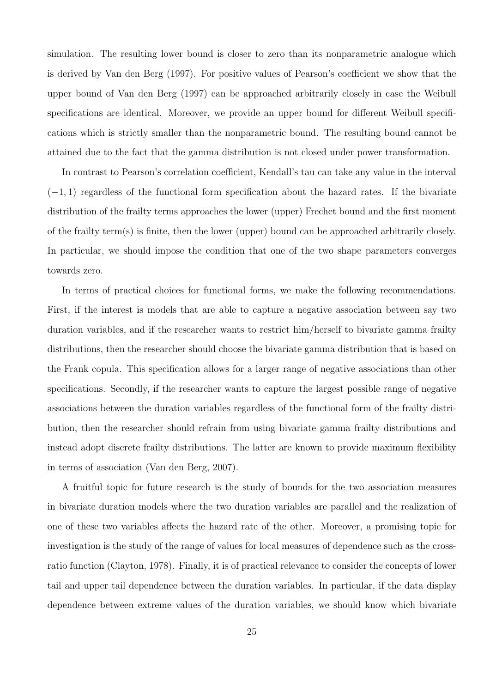simulation. The resulting lower bound is closer to zero than its nonparametric analogue which is derived by Van den Berg (1997). For positive values of Pearson's coefficient we show that the upper bound of Van den Berg (1997) can be approached arbitrarily closely in case the Weibull specifications are identical. Moreover, we provide an upper bound for different Weibull specifications which is strictly smaller than the nonparametric bound. The resulting bound cannot be attained due to the fact that the gamma distribution is not closed under power transformation.

In contrast to Pearson's correlation coefficient, Kendall's tau can take any value in the interval (*−*1*,* 1) regardless of the functional form specification about the hazard rates. If the bivariate distribution of the frailty terms approaches the lower (upper) Frechet bound and the first moment of the frailty term(s) is finite, then the lower (upper) bound can be approached arbitrarily closely. In particular, we should impose the condition that one of the two shape parameters converges towards zero.

In terms of practical choices for functional forms, we make the following recommendations. First, if the interest is models that are able to capture a negative association between say two duration variables, and if the researcher wants to restrict him/herself to bivariate gamma frailty distributions, then the researcher should choose the bivariate gamma distribution that is based on the Frank copula. This specification allows for a larger range of negative associations than other specifications. Secondly, if the researcher wants to capture the largest possible range of negative associations between the duration variables regardless of the functional form of the frailty distribution, then the researcher should refrain from using bivariate gamma frailty distributions and instead adopt discrete frailty distributions. The latter are known to provide maximum flexibility in terms of association (Van den Berg, 2007).

A fruitful topic for future research is the study of bounds for the two association measures in bivariate duration models where the two duration variables are parallel and the realization of one of these two variables affects the hazard rate of the other. Moreover, a promising topic for investigation is the study of the range of values for local measures of dependence such as the crossratio function (Clayton, 1978). Finally, it is of practical relevance to consider the concepts of lower tail and upper tail dependence between the duration variables. In particular, if the data display dependence between extreme values of the duration variables, we should know which bivariate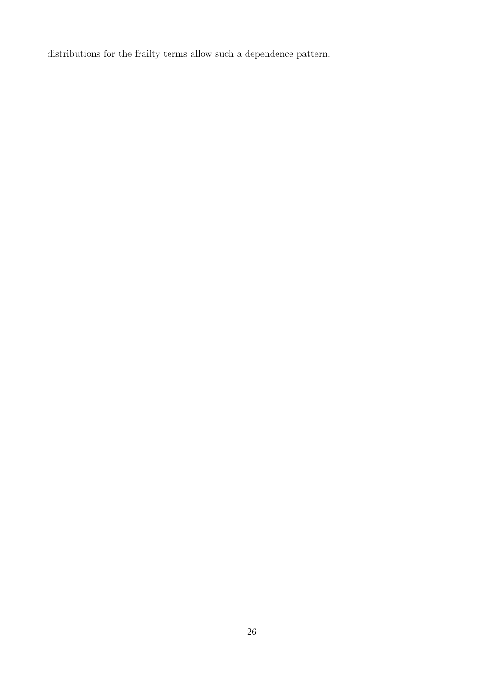distributions for the frailty terms allow such a dependence pattern.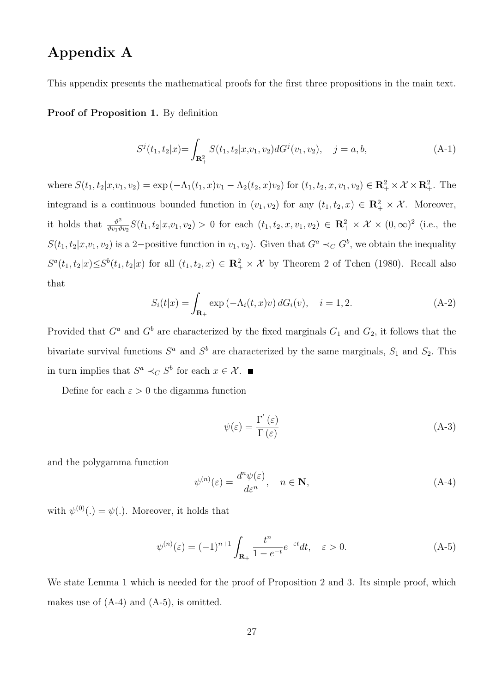# **Appendix A**

This appendix presents the mathematical proofs for the first three propositions in the main text.

**Proof of Proposition 1.** By definition

$$
S^{j}(t_{1}, t_{2}|x) = \int_{\mathbf{R}_{+}^{2}} S(t_{1}, t_{2}|x, v_{1}, v_{2}) dG^{j}(v_{1}, v_{2}), \quad j = a, b,
$$
\n(A-1)

where  $S(t_1, t_2 | x, v_1, v_2) = \exp(-\Lambda_1(t_1, x)v_1 - \Lambda_2(t_2, x)v_2)$  for  $(t_1, t_2, x, v_1, v_2) \in \mathbb{R}^2_+ \times \mathcal{X} \times \mathbb{R}^2_+$ . The integrand is a continuous bounded function in  $(v_1, v_2)$  for any  $(t_1, t_2, x) \in \mathbb{R}_+^2 \times \mathcal{X}$ . Moreover, it holds that  $\frac{\vartheta^2}{\vartheta u_1}$  $\frac{\partial^2}{\partial v_1 \partial v_2} S(t_1, t_2 | x, v_1, v_2) > 0$  for each  $(t_1, t_2, x, v_1, v_2) \in \mathbb{R}_+^2 \times \mathcal{X} \times (0, \infty)^2$  (i.e., the  $S(t_1, t_2 | x, v_1, v_2)$  is a 2−positive function in  $v_1, v_2$ ). Given that  $G^a \prec_C G^b$ , we obtain the inequality  $S^a(t_1,t_2|x) \leq S^b(t_1,t_2|x)$  for all  $(t_1,t_2,x) \in \mathbb{R}_+^2 \times \mathcal{X}$  by Theorem 2 of Tchen (1980). Recall also that

$$
S_i(t|x) = \int_{\mathbf{R}_+} \exp\left(-\Lambda_i(t,x)v\right) dG_i(v), \quad i = 1, 2. \tag{A-2}
$$

Provided that  $G^a$  and  $G^b$  are characterized by the fixed marginals  $G_1$  and  $G_2$ , it follows that the bivariate survival functions  $S^a$  and  $S^b$  are characterized by the same marginals,  $S_1$  and  $S_2$ . This in turn implies that  $S^a \prec_C S^b$  for each  $x \in \mathcal{X}$ .

Define for each  $\varepsilon > 0$  the digamma function

$$
\psi(\varepsilon) = \frac{\Gamma'(\varepsilon)}{\Gamma(\varepsilon)}\tag{A-3}
$$

and the polygamma function

$$
\psi^{(n)}(\varepsilon) = \frac{d^n \psi(\varepsilon)}{d\varepsilon^n}, \quad n \in \mathbf{N},
$$
\n(A-4)

with  $\psi^{(0)}(.) = \psi(.)$ . Moreover, it holds that

$$
\psi^{(n)}(\varepsilon) = (-1)^{n+1} \int_{\mathbf{R}_+} \frac{t^n}{1 - e^{-t}} e^{-\varepsilon t} dt, \quad \varepsilon > 0.
$$
\n(A-5)

We state Lemma 1 which is needed for the proof of Proposition 2 and 3. Its simple proof, which makes use of  $(A-4)$  and  $(A-5)$ , is omitted.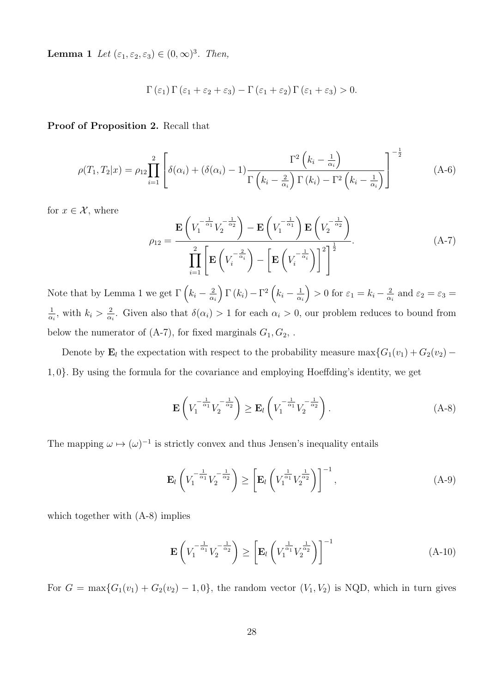**Lemma 1** *Let*  $(\varepsilon_1, \varepsilon_2, \varepsilon_3) \in (0, \infty)^3$ *. Then,* 

$$
\Gamma(\varepsilon_1) \Gamma(\varepsilon_1 + \varepsilon_2 + \varepsilon_3) - \Gamma(\varepsilon_1 + \varepsilon_2) \Gamma(\varepsilon_1 + \varepsilon_3) > 0.
$$

**Proof of Proposition 2.** Recall that

$$
\rho(T_1, T_2 | x) = \rho_{12} \prod_{i=1}^2 \left[ \delta(\alpha_i) + (\delta(\alpha_i) - 1) \frac{\Gamma^2 \left( k_i - \frac{1}{\alpha_i} \right)}{\Gamma \left( k_i - \frac{2}{\alpha_i} \right) \Gamma \left( k_i \right) - \Gamma^2 \left( k_i - \frac{1}{\alpha_i} \right)} \right]^{-\frac{1}{2}}
$$
(A-6)

for  $x \in \mathcal{X}$ , where

$$
\rho_{12} = \frac{\mathbf{E}\left(V_1^{-\frac{1}{\alpha_1}}V_2^{-\frac{1}{\alpha_2}}\right) - \mathbf{E}\left(V_1^{-\frac{1}{\alpha_1}}\right)\mathbf{E}\left(V_2^{-\frac{1}{\alpha_2}}\right)}{\prod_{i=1}^2 \left[\mathbf{E}\left(V_i^{-\frac{2}{\alpha_i}}\right) - \left[\mathbf{E}\left(V_i^{-\frac{1}{\alpha_i}}\right)\right]^2\right]^{\frac{1}{2}}}.
$$
\n(A-7)

Note that by Lemma 1 we get  $\Gamma\left(k_i-\frac{2}{\alpha}\right)$ *αi*  $\int \Gamma(k_i) - \Gamma^2(k_i - \frac{1}{\alpha})$ *αi*  $\left( \frac{1}{2} \right) > 0$  for  $\varepsilon_1 = k_i - \frac{2}{\alpha}$  $\frac{2}{\alpha_i}$  and  $\varepsilon_2 = \varepsilon_3 =$ 1  $\frac{1}{\alpha_i}$ , with  $k_i > \frac{2}{\alpha_i}$  $\frac{2}{\alpha_i}$ . Given also that  $\delta(\alpha_i) > 1$  for each  $\alpha_i > 0$ , our problem reduces to bound from below the numerator of  $(A-7)$ , for fixed marginals  $G_1, G_2, \ldots$ 

Denote by **E**<sub>*l*</sub> the expectation with respect to the probability measure max ${G_1(v_1) + G_2(v_2) - G_1(v_1)}$ 1*,* 0*}.* By using the formula for the covariance and employing Hoeffding's identity, we get

$$
\mathbf{E}\left(V_1^{-\frac{1}{\alpha_1}}V_2^{-\frac{1}{\alpha_2}}\right) \ge \mathbf{E}_l\left(V_1^{-\frac{1}{\alpha_1}}V_2^{-\frac{1}{\alpha_2}}\right).
$$
 (A-8)

The mapping  $\omega \mapsto (\omega)^{-1}$  is strictly convex and thus Jensen's inequality entails

$$
\mathbf{E}_{l}\left(V_{1}^{-\frac{1}{\alpha_{1}}}V_{2}^{-\frac{1}{\alpha_{2}}}\right) \geq \left[\mathbf{E}_{l}\left(V_{1}^{\frac{1}{\alpha_{1}}}V_{2}^{\frac{1}{\alpha_{2}}}\right)\right]^{-1},\tag{A-9}
$$

which together with  $(A-8)$  implies

$$
\mathbf{E}\left(V_1^{-\frac{1}{\alpha_1}}V_2^{-\frac{1}{\alpha_2}}\right) \ge \left[\mathbf{E}_l\left(V_1^{\frac{1}{\alpha_1}}V_2^{\frac{1}{\alpha_2}}\right)\right]^{-1} \tag{A-10}
$$

For  $G = \max\{G_1(v_1) + G_2(v_2) - 1, 0\}$ , the random vector  $(V_1, V_2)$  is NQD, which in turn gives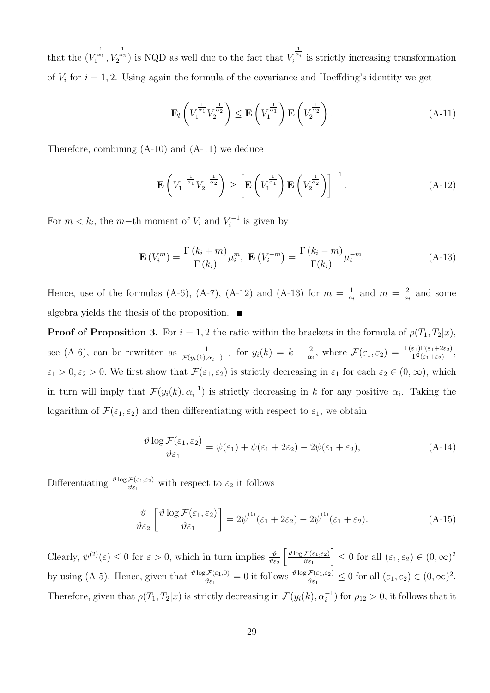that the  $(V_1^{\frac{1}{\alpha_1}}, V_2^{\frac{1}{\alpha_2}})$  is NQD as well due to the fact that  $V_i^{\frac{1}{\alpha_i}}$  is strictly increasing transformation of  $V_i$  for  $i = 1, 2$ . Using again the formula of the covariance and Hoeffding's identity we get

$$
\mathbf{E}_{l}\left(V_{1}^{\frac{1}{\alpha_{1}}}V_{2}^{\frac{1}{\alpha_{2}}}\right) \leq \mathbf{E}\left(V_{1}^{\frac{1}{\alpha_{1}}}\right)\mathbf{E}\left(V_{2}^{\frac{1}{\alpha_{2}}}\right).
$$
\n(A-11)

Therefore, combining (A-10) and (A-11) we deduce

$$
\mathbf{E}\left(V_1^{-\frac{1}{\alpha_1}}V_2^{-\frac{1}{\alpha_2}}\right) \ge \left[\mathbf{E}\left(V_1^{\frac{1}{\alpha_1}}\right)\mathbf{E}\left(V_2^{\frac{1}{\alpha_2}}\right)\right]^{-1}.\tag{A-12}
$$

For  $m < k_i$ , the  $m$ −th moment of  $V_i$  and  $V_i^{-1}$  is given by

$$
\mathbf{E}\left(V_i^m\right) = \frac{\Gamma\left(k_i + m\right)}{\Gamma\left(k_i\right)} \mu_i^m, \ \mathbf{E}\left(V_i^{-m}\right) = \frac{\Gamma\left(k_i - m\right)}{\Gamma(k_i)} \mu_i^{-m}.\tag{A-13}
$$

Hence, use of the formulas (A-6), (A-7), (A-12) and (A-13) for  $m = \frac{1}{a}$  $\frac{1}{a_i}$  and  $m = \frac{2}{a_i}$  $rac{2}{a_i}$  and some algebra yields the thesis of the proposition.  $\blacksquare$ 

**Proof of Proposition 3.** For  $i = 1, 2$  the ratio within the brackets in the formula of  $\rho(T_1, T_2|x)$ , see (A-6), can be rewritten as  $\frac{1}{\mathcal{F}(y_i(k), \alpha_i^{-1})-1}$  for  $y_i(k) = k - \frac{2}{\alpha}$  $\frac{2}{\alpha_i}$ , where  $\mathcal{F}(\varepsilon_1, \varepsilon_2) = \frac{\Gamma(\varepsilon_1)\Gamma(\varepsilon_1+2\varepsilon_2)}{\Gamma^2(\varepsilon_1+\varepsilon_2)},$  $\varepsilon_1 > 0, \varepsilon_2 > 0$ . We first show that  $\mathcal{F}(\varepsilon_1, \varepsilon_2)$  is strictly decreasing in  $\varepsilon_1$  for each  $\varepsilon_2 \in (0, \infty)$ , which in turn will imply that  $\mathcal{F}(y_i(k), \alpha_i^{-1})$  is strictly decreasing in *k* for any positive  $\alpha_i$ . Taking the logarithm of  $\mathcal{F}(\varepsilon_1, \varepsilon_2)$  and then differentiating with respect to  $\varepsilon_1$ , we obtain

$$
\frac{\vartheta \log \mathcal{F}(\varepsilon_1, \varepsilon_2)}{\vartheta \varepsilon_1} = \psi(\varepsilon_1) + \psi(\varepsilon_1 + 2\varepsilon_2) - 2\psi(\varepsilon_1 + \varepsilon_2),\tag{A-14}
$$

Differentiating  $\frac{\vartheta \log \mathcal{F}(\varepsilon_1, \varepsilon_2)}{\vartheta \varepsilon_1}$  with respect to  $\varepsilon_2$  it follows

$$
\frac{\vartheta}{\vartheta \varepsilon_2} \left[ \frac{\vartheta \log \mathcal{F}(\varepsilon_1, \varepsilon_2)}{\vartheta \varepsilon_1} \right] = 2\psi^{(1)}(\varepsilon_1 + 2\varepsilon_2) - 2\psi^{(1)}(\varepsilon_1 + \varepsilon_2). \tag{A-15}
$$

Clearly,  $\psi^{(2)}(\varepsilon) \leq 0$  for  $\varepsilon > 0$ , which in turn implies  $\frac{\vartheta}{\vartheta \varepsilon_2}$  $\int \frac{\vartheta \log \mathcal{F}(\varepsilon_1, \varepsilon_2)}{\vartheta \varepsilon_1}$  $\left[\right] \leq 0$  for all  $(\varepsilon_1, \varepsilon_2) \in (0, \infty)^2$ by using (A-5). Hence, given that  $\frac{\vartheta \log \mathcal{F}(\varepsilon_1,0)}{\vartheta \varepsilon_1} = 0$  it follows  $\frac{\vartheta \log \mathcal{F}(\varepsilon_1,\varepsilon_2)}{\vartheta \varepsilon_1} \leq 0$  for all  $(\varepsilon_1,\varepsilon_2) \in (0,\infty)^2$ . Therefore, given that  $\rho(T_1, T_2|x)$  is strictly decreasing in  $\mathcal{F}(y_i(k), \alpha_i^{-1})$  for  $\rho_{12} > 0$ , it follows that it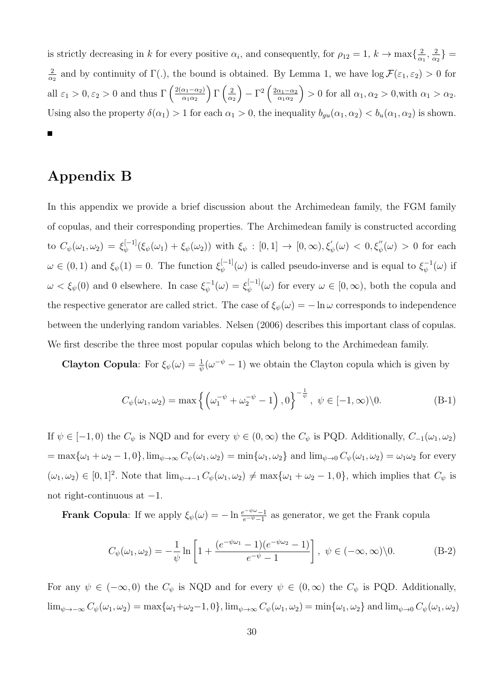is strictly decreasing in *k* for every positive  $\alpha_i$ , and consequently, for  $\rho_{12} = 1$ ,  $k \to \max\{\frac{2}{\alpha}\}$  $\frac{2}{\alpha_1}, \frac{2}{\alpha_2}$  $\frac{2}{\alpha_2}$ } = 2  $\frac{2}{\alpha_2}$  and by continuity of  $\Gamma$ (*.*), the bound is obtained. By Lemma 1, we have  $\log \mathcal{F}(\varepsilon_1, \varepsilon_2) > 0$  for all  $\varepsilon_1 > 0, \varepsilon_2 > 0$  and thus  $\Gamma\left(\frac{2(\alpha_1 - \alpha_2)}{\alpha_1 \alpha_2}\right)$  $\Gamma\left(\frac{2}{\alpha}\right)$  $\int -\Gamma^2 \left( \frac{2\alpha_1 - \alpha_2}{\alpha_1 \alpha_2} \right)$  $\left( \alpha \right) > 0$  for all  $\alpha_1, \alpha_2 > 0$ , with  $\alpha_1 > \alpha_2$ . *α*<sup>2</sup> Using also the property  $\delta(\alpha_1) > 1$  for each  $\alpha_1 > 0$ , the inequality  $b_{gu}(\alpha_1, \alpha_2) < b_u(\alpha_1, \alpha_2)$  is shown. Ē

# **Appendix B**

In this appendix we provide a brief discussion about the Archimedean family, the FGM family of copulas, and their corresponding properties. The Archimedean family is constructed according to  $C_{\psi}(\omega_1, \omega_2) = \xi_{\psi}^{[-1]}(\xi_{\psi}(\omega_1) + \xi_{\psi}(\omega_2))$  with  $\xi_{\psi} : [0,1] \to [0,\infty), \xi_{\psi}'(\omega) < 0, \xi_{\psi}''(\omega) > 0$  for each  $\omega \in (0,1)$  and  $\xi_{\psi}(1) = 0$ . The function  $\xi_{\psi}^{[-1]}(\omega)$  is called pseudo-inverse and is equal to  $\xi_{\psi}^{-1}(\omega)$  if  $\omega < \xi_{\psi}(0)$  and 0 elsewhere. In case  $\xi_{\psi}^{-1}(\omega) = \xi_{\psi}^{[-1]}(\omega)$  for every  $\omega \in [0, \infty)$ , both the copula and the respective generator are called strict. The case of  $\xi_{\psi}(\omega) = -\ln \omega$  corresponds to independence between the underlying random variables. Nelsen (2006) describes this important class of copulas. We first describe the three most popular copulas which belong to the Archimedean family.

**Clayton Copula**: For  $\xi_{\psi}(\omega) = \frac{1}{\psi}(\omega^{-\psi} - 1)$  we obtain the Clayton copula which is given by

$$
C_{\psi}(\omega_1, \omega_2) = \max \left\{ \left( \omega_1^{-\psi} + \omega_2^{-\psi} - 1 \right), 0 \right\}^{-\frac{1}{\psi}}, \ \psi \in [-1, \infty) \backslash 0. \tag{B-1}
$$

If  $\psi \in [-1,0)$  the  $C_{\psi}$  is NQD and for every  $\psi \in (0,\infty)$  the  $C_{\psi}$  is PQD. Additionally,  $C_{-1}(\omega_1,\omega_2)$  $=\max{\{\omega_1+\omega_2-1,0\}}$ ,  $\lim_{\psi\to\infty}C_{\psi}(\omega_1,\omega_2)=\min{\{\omega_1,\omega_2\}}$  and  $\lim_{\psi\to 0}C_{\psi}(\omega_1,\omega_2)=\omega_1\omega_2$  for every  $(\omega_1, \omega_2) \in [0, 1]^2$ . Note that  $\lim_{\psi \to -1} C_{\psi}(\omega_1, \omega_2) \neq \max{\omega_1 + \omega_2 - 1, 0}$ , which implies that  $C_{\psi}$  is not right-continuous at *−*1*.*

**Frank Copula**: If we apply  $\xi_{\psi}(\omega) = -\ln \frac{e^{-\psi \omega} - 1}{e^{-\psi} - 1}$  as generator, we get the Frank copula

$$
C_{\psi}(\omega_1, \omega_2) = -\frac{1}{\psi} \ln \left[ 1 + \frac{(e^{-\psi \omega_1} - 1)(e^{-\psi \omega_2} - 1)}{e^{-\psi} - 1} \right], \ \psi \in (-\infty, \infty) \setminus 0. \tag{B-2}
$$

For any  $\psi \in (-\infty, 0)$  the  $C_{\psi}$  is NQD and for every  $\psi \in (0, \infty)$  the  $C_{\psi}$  is PQD. Additionally,  $\lim_{\psi \to -\infty} C_{\psi}(\omega_1, \omega_2) = \max{\{\omega_1 + \omega_2 - 1, 0\}}, \lim_{\psi \to \infty} C_{\psi}(\omega_1, \omega_2) = \min{\{\omega_1, \omega_2\}}$  and  $\lim_{\psi \to 0} C_{\psi}(\omega_1, \omega_2)$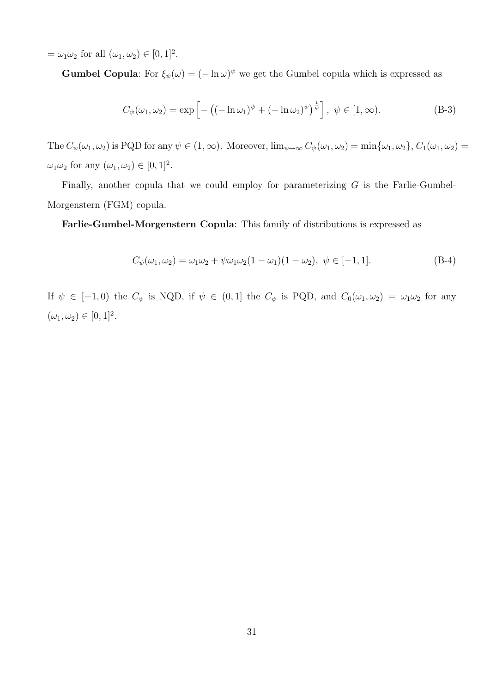$=\omega_1\omega_2$  for all  $(\omega_1, \omega_2) \in [0, 1]^2$ .

**Gumbel Copula**: For  $\xi_{\psi}(\omega) = (-\ln \omega)^{\psi}$  we get the Gumbel copula which is expressed as

$$
C_{\psi}(\omega_1, \omega_2) = \exp\left[-\left((- \ln \omega_1)^{\psi} + (- \ln \omega_2)^{\psi}\right)^{\frac{1}{\psi}}\right], \ \psi \in [1, \infty). \tag{B-3}
$$

The  $C_{\psi}(\omega_1, \omega_2)$  is PQD for any  $\psi \in (1, \infty)$ . Moreover,  $\lim_{\psi \to \infty} C_{\psi}(\omega_1, \omega_2) = \min{\{\omega_1, \omega_2\}}$ ,  $C_1(\omega_1, \omega_2) =$  $\omega_1 \omega_2$  for any  $(\omega_1, \omega_2) \in [0, 1]^2$ .

Finally, another copula that we could employ for parameterizing *G* is the Farlie-Gumbel-Morgenstern (FGM) copula.

**Farlie-Gumbel-Morgenstern Copula**: This family of distributions is expressed as

$$
C_{\psi}(\omega_1, \omega_2) = \omega_1 \omega_2 + \psi \omega_1 \omega_2 (1 - \omega_1)(1 - \omega_2), \ \psi \in [-1, 1].
$$
\n(B-4)

If  $\psi \in [-1,0)$  the  $C_{\psi}$  is NQD, if  $\psi \in (0,1]$  the  $C_{\psi}$  is PQD, and  $C_0(\omega_1,\omega_2) = \omega_1\omega_2$  for any  $(\omega_1, \omega_2) \in [0, 1]^2.$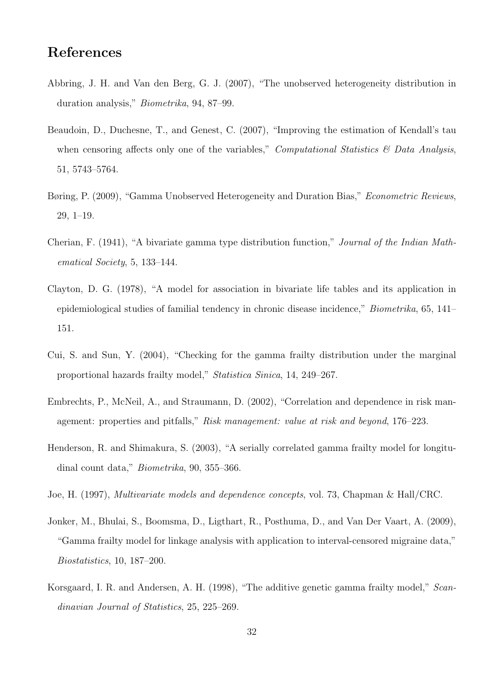# **References**

- Abbring, J. H. and Van den Berg, G. J. (2007), "The unobserved heterogeneity distribution in duration analysis," *Biometrika*, 94, 87–99.
- Beaudoin, D., Duchesne, T., and Genest, C. (2007), "Improving the estimation of Kendall's tau when censoring affects only one of the variables," *Computational Statistics & Data Analysis*, 51, 5743–5764.
- Børing, P. (2009), "Gamma Unobserved Heterogeneity and Duration Bias," *Econometric Reviews*, 29, 1–19.
- Cherian, F. (1941), "A bivariate gamma type distribution function," *Journal of the Indian Mathematical Society*, 5, 133–144.
- Clayton, D. G. (1978), "A model for association in bivariate life tables and its application in epidemiological studies of familial tendency in chronic disease incidence," *Biometrika*, 65, 141– 151.
- Cui, S. and Sun, Y. (2004), "Checking for the gamma frailty distribution under the marginal proportional hazards frailty model," *Statistica Sinica*, 14, 249–267.
- Embrechts, P., McNeil, A., and Straumann, D. (2002), "Correlation and dependence in risk management: properties and pitfalls," *Risk management: value at risk and beyond*, 176–223.
- Henderson, R. and Shimakura, S. (2003), "A serially correlated gamma frailty model for longitudinal count data," *Biometrika*, 90, 355–366.
- Joe, H. (1997), *Multivariate models and dependence concepts*, vol. 73, Chapman & Hall/CRC.
- Jonker, M., Bhulai, S., Boomsma, D., Ligthart, R., Posthuma, D., and Van Der Vaart, A. (2009), "Gamma frailty model for linkage analysis with application to interval-censored migraine data," *Biostatistics*, 10, 187–200.
- Korsgaard, I. R. and Andersen, A. H. (1998), "The additive genetic gamma frailty model," *Scandinavian Journal of Statistics*, 25, 225–269.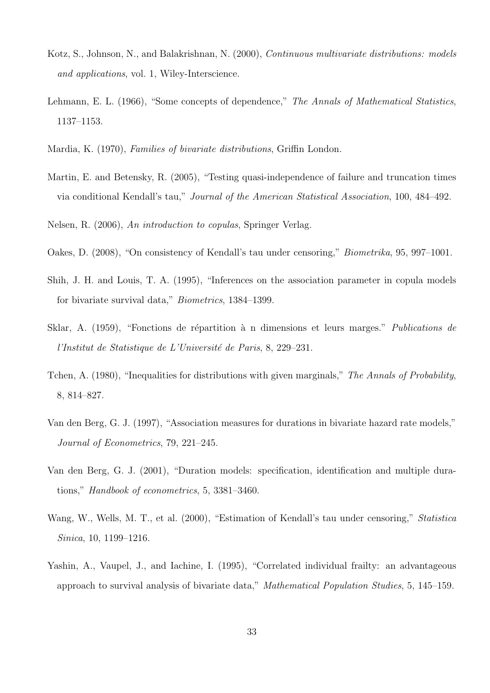- Kotz, S., Johnson, N., and Balakrishnan, N. (2000), *Continuous multivariate distributions: models and applications*, vol. 1, Wiley-Interscience.
- Lehmann, E. L. (1966), "Some concepts of dependence," *The Annals of Mathematical Statistics*, 1137–1153.
- Mardia, K. (1970), *Families of bivariate distributions*, Griffin London.
- Martin, E. and Betensky, R. (2005), "Testing quasi-independence of failure and truncation times via conditional Kendall's tau," *Journal of the American Statistical Association*, 100, 484–492.
- Nelsen, R. (2006), *An introduction to copulas*, Springer Verlag.
- Oakes, D. (2008), "On consistency of Kendall's tau under censoring," *Biometrika*, 95, 997–1001.
- Shih, J. H. and Louis, T. A. (1995), "Inferences on the association parameter in copula models for bivariate survival data," *Biometrics*, 1384–1399.
- Sklar, A. (1959), "Fonctions de répartition à n dimensions et leurs marges." *Publications de l'Institut de Statistique de L'Université de Paris*, 8, 229–231.
- Tchen, A. (1980), "Inequalities for distributions with given marginals," *The Annals of Probability*, 8, 814–827.
- Van den Berg, G. J. (1997), "Association measures for durations in bivariate hazard rate models," *Journal of Econometrics*, 79, 221–245.
- Van den Berg, G. J. (2001), "Duration models: specification, identification and multiple durations," *Handbook of econometrics*, 5, 3381–3460.
- Wang, W., Wells, M. T., et al. (2000), "Estimation of Kendall's tau under censoring," *Statistica Sinica*, 10, 1199–1216.
- Yashin, A., Vaupel, J., and Iachine, I. (1995), "Correlated individual frailty: an advantageous approach to survival analysis of bivariate data," *Mathematical Population Studies*, 5, 145–159.